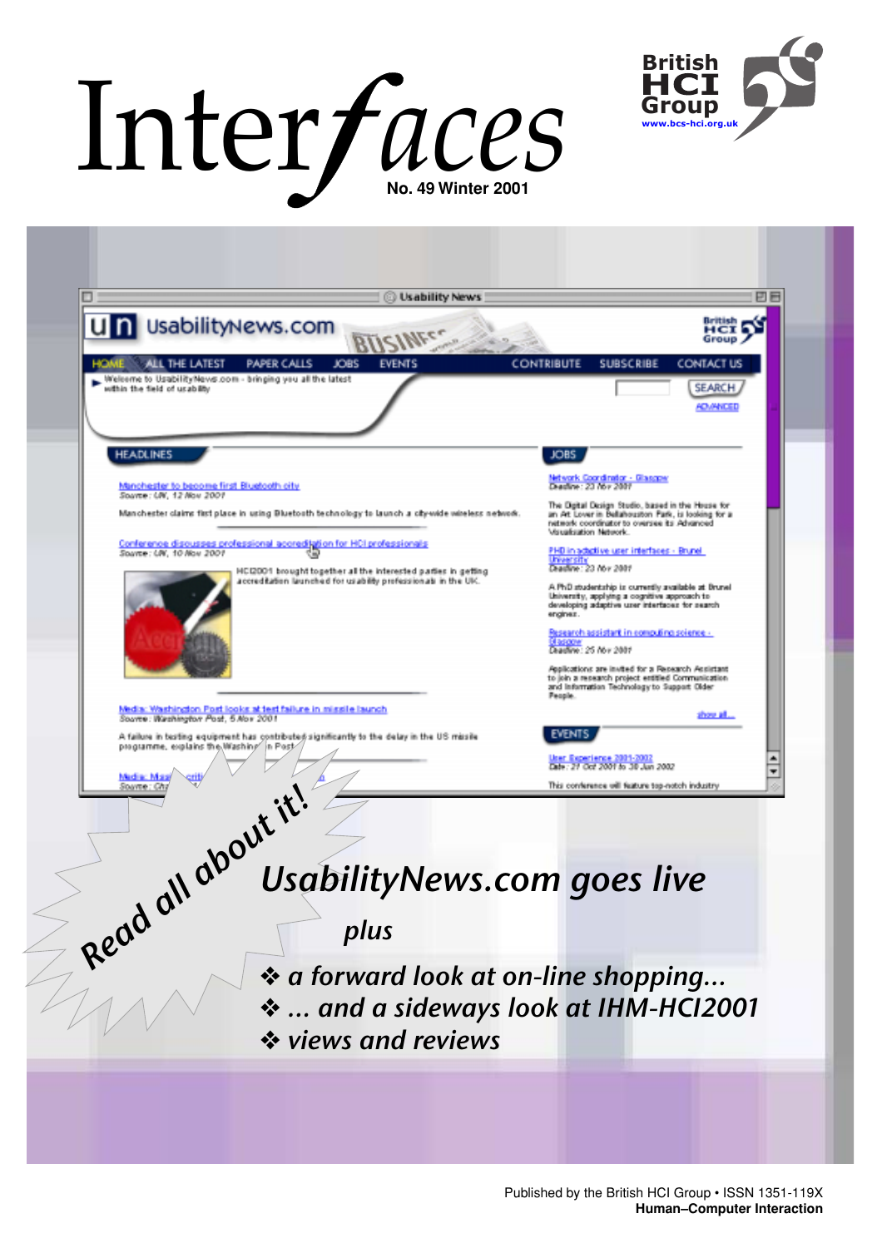# Inter/aces



| <b>Usability News</b>                                                                                                                  | 민돈                                                                                                                                                    |
|----------------------------------------------------------------------------------------------------------------------------------------|-------------------------------------------------------------------------------------------------------------------------------------------------------|
| Un UsabilityNews.com                                                                                                                   | British<br>Her a<br>Group ,                                                                                                                           |
| ALL THE LATEST<br>PAPER CALLS<br><b>JOBS</b><br><b>EVENTS</b>                                                                          | <b>CONTRIBUTE</b><br><b>SUBSCRIBE</b><br>CONTACT US                                                                                                   |
| Welcome to UsabilityNews.com - bringing you all the latest<br>within the field of usability                                            | SEARCH                                                                                                                                                |
|                                                                                                                                        | <b>ADVANCED</b>                                                                                                                                       |
|                                                                                                                                        |                                                                                                                                                       |
| <b>HEADLINES</b>                                                                                                                       | <b>JOBS</b>                                                                                                                                           |
| Manchester to become first Bluetcoth city                                                                                              | Network Coordinator - Glasgow<br>Dradline: 23 Nov 2001                                                                                                |
| Soavee: UN, 12 Nov 2001<br>Manchester claims first place in using Bluetooth technology to launch a city-wide wireless network.         | The Digital Dasign Studio, based in the House for<br>an At Lover in Bellahouston Park, is looking for a                                               |
|                                                                                                                                        | network coordinator to oversee its Advanced<br>Visualization Network.                                                                                 |
| Conference discusses professional accrediation for HCI professionals<br>Spayer: UN, 10 Nov 2001                                        | PHD in acticlive user interfaces - Brunel<br>University                                                                                               |
| HCI2001 brought together all the interested parties in getting<br>accreditation launched for usability professionals in the UK.        | Deadline: 23 Nov 2001<br>A PhD studentship is currently available at Brunel                                                                           |
|                                                                                                                                        | University, applying a cognitive approach to<br>developing adaptive user interfaces for search<br>enginez.                                            |
|                                                                                                                                        | Research assistant in computing science -                                                                                                             |
|                                                                                                                                        | <b>Blascow</b><br>Deadline: 25 Nov 2001                                                                                                               |
|                                                                                                                                        | Applications are insted for a Repearch Appliciant<br>to join a research project entitled Communication<br>and Information Technology to Support Older |
| Media: Washington Post looks at test failure in missile launch                                                                         | <b>People.</b>                                                                                                                                        |
| Souvre: Washington Post, 5 Nov 2001                                                                                                    | about all<br>EVENT                                                                                                                                    |
| A failure in busting equipment has contributed significantly to the delay in the US missile<br>programme, explains the Washing in Post | ker Experience 2001-2007<br>۰                                                                                                                         |
| Madiac Ma                                                                                                                              | Date: 21 Oct 2001 to 30 Jun 2002<br>▼                                                                                                                 |
|                                                                                                                                        | This conference will feature top-notch industry                                                                                                       |
|                                                                                                                                        |                                                                                                                                                       |
|                                                                                                                                        |                                                                                                                                                       |
| <b>UsabilityNews.com goes live</b>                                                                                                     |                                                                                                                                                       |
|                                                                                                                                        |                                                                                                                                                       |
| plus                                                                                                                                   |                                                                                                                                                       |
| Read all about it!                                                                                                                     |                                                                                                                                                       |
| ❖ a forward look at on-line shopping                                                                                                   |                                                                                                                                                       |
|                                                                                                                                        |                                                                                                                                                       |
| *  and a sideways look at IHM-HCI2001                                                                                                  |                                                                                                                                                       |
| ❖ views and reviews                                                                                                                    |                                                                                                                                                       |
|                                                                                                                                        |                                                                                                                                                       |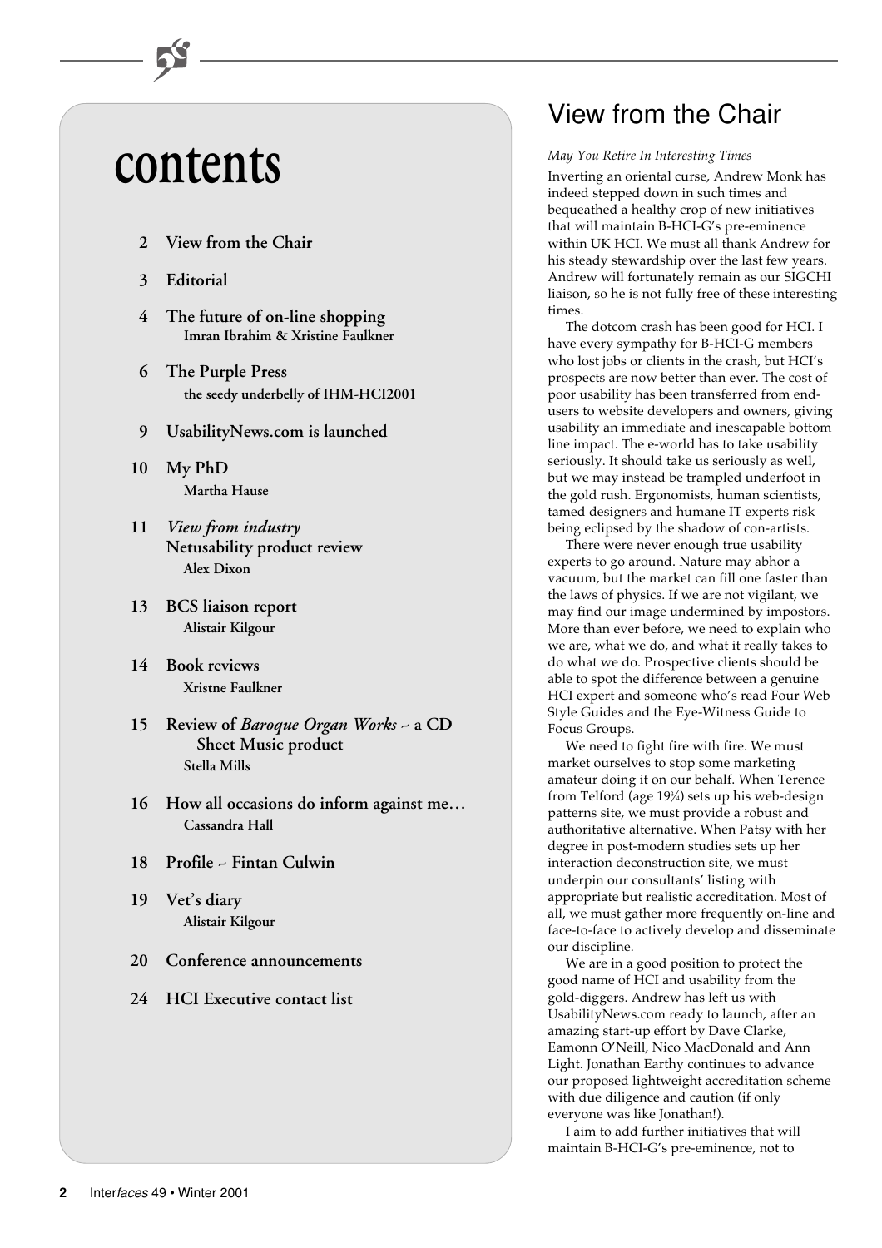# **contents**

- **2 View from the Chair**
- **3 Editorial**
- **4 The future of on-line shopping Imran Ibrahim & Xristine Faulkner**
- **6 The Purple Press the seedy underbelly of IHM-HCI2001**
- **9 UsabilityNews.com is launched**
- **10 My PhD Martha Hause**
- **11** *View from industry* **Netusability product review Alex Dixon**
- **13 BCS liaison report Alistair Kilgour**
- **14 Book reviews Xristne Faulkner**
- **15 Review of** *Baroque Organ Works* **~ a CD Sheet Music product Stella Mills**
- **16 How all occasions do inform against me… Cassandra Hall**
- **18 Profile ~ Fintan Culwin**
- **19 Vet's diary Alistair Kilgour**
- **20 Conference announcements**
- **24 HCI Executive contact list**

# View from the Chair

### *May You Retire In Interesting Times*

Inverting an oriental curse, Andrew Monk has indeed stepped down in such times and bequeathed a healthy crop of new initiatives that will maintain B-HCI-G's pre-eminence within UK HCI. We must all thank Andrew for his steady stewardship over the last few years. Andrew will fortunately remain as our SIGCHI liaison, so he is not fully free of these interesting times.

The dotcom crash has been good for HCI. I have every sympathy for B-HCI-G members who lost jobs or clients in the crash, but HCI's prospects are now better than ever. The cost of poor usability has been transferred from endusers to website developers and owners, giving usability an immediate and inescapable bottom line impact. The e-world has to take usability seriously. It should take us seriously as well, but we may instead be trampled underfoot in the gold rush. Ergonomists, human scientists, tamed designers and humane IT experts risk being eclipsed by the shadow of con-artists.

There were never enough true usability experts to go around. Nature may abhor a vacuum, but the market can fill one faster than the laws of physics. If we are not vigilant, we may find our image undermined by impostors. More than ever before, we need to explain who we are, what we do, and what it really takes to do what we do. Prospective clients should be able to spot the difference between a genuine HCI expert and someone who's read Four Web Style Guides and the Eye-Witness Guide to Focus Groups.

We need to fight fire with fire. We must market ourselves to stop some marketing amateur doing it on our behalf. When Terence from Telford (age 193 ⁄4) sets up his web-design patterns site, we must provide a robust and authoritative alternative. When Patsy with her degree in post-modern studies sets up her interaction deconstruction site, we must underpin our consultants' listing with appropriate but realistic accreditation. Most of all, we must gather more frequently on-line and face-to-face to actively develop and disseminate our discipline.

We are in a good position to protect the good name of HCI and usability from the gold-diggers. Andrew has left us with UsabilityNews.com ready to launch, after an amazing start-up effort by Dave Clarke, Eamonn O'Neill, Nico MacDonald and Ann Light. Jonathan Earthy continues to advance our proposed lightweight accreditation scheme with due diligence and caution (if only everyone was like Jonathan!).

I aim to add further initiatives that will maintain B-HCI-G's pre-eminence, not to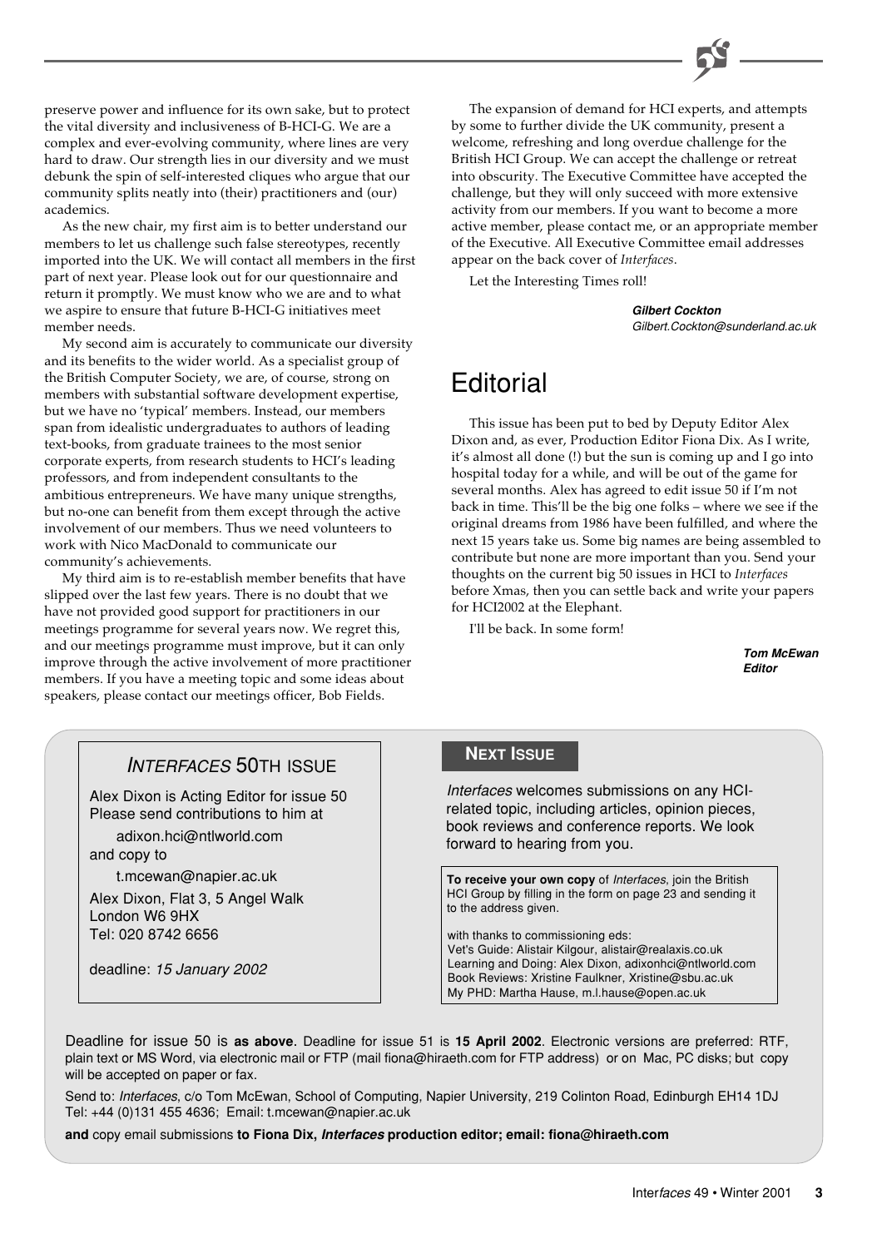preserve power and influence for its own sake, but to protect the vital diversity and inclusiveness of B-HCI-G. We are a complex and ever-evolving community, where lines are very hard to draw. Our strength lies in our diversity and we must debunk the spin of self-interested cliques who argue that our community splits neatly into (their) practitioners and (our) academics.

As the new chair, my first aim is to better understand our members to let us challenge such false stereotypes, recently imported into the UK. We will contact all members in the first part of next year. Please look out for our questionnaire and return it promptly. We must know who we are and to what we aspire to ensure that future B-HCI-G initiatives meet member needs.

My second aim is accurately to communicate our diversity and its benefits to the wider world. As a specialist group of the British Computer Society, we are, of course, strong on members with substantial software development expertise, but we have no 'typical' members. Instead, our members span from idealistic undergraduates to authors of leading text-books, from graduate trainees to the most senior corporate experts, from research students to HCI's leading professors, and from independent consultants to the ambitious entrepreneurs. We have many unique strengths, but no-one can benefit from them except through the active involvement of our members. Thus we need volunteers to work with Nico MacDonald to communicate our community's achievements.

My third aim is to re-establish member benefits that have slipped over the last few years. There is no doubt that we have not provided good support for practitioners in our meetings programme for several years now. We regret this, and our meetings programme must improve, but it can only improve through the active involvement of more practitioner members. If you have a meeting topic and some ideas about speakers, please contact our meetings officer, Bob Fields.

The expansion of demand for HCI experts, and attempts by some to further divide the UK community, present a welcome, refreshing and long overdue challenge for the British HCI Group. We can accept the challenge or retreat into obscurity. The Executive Committee have accepted the challenge, but they will only succeed with more extensive activity from our members. If you want to become a more active member, please contact me, or an appropriate member of the Executive. All Executive Committee email addresses appear on the back cover of *Interfaces*.

Let the Interesting Times roll!

**Gilbert Cockton** Gilbert.Cockton@sunderland.ac.uk

# **Editorial**

This issue has been put to bed by Deputy Editor Alex Dixon and, as ever, Production Editor Fiona Dix. As I write, it's almost all done (!) but the sun is coming up and I go into hospital today for a while, and will be out of the game for several months. Alex has agreed to edit issue 50 if I'm not back in time. This'll be the big one folks – where we see if the original dreams from 1986 have been fulfilled, and where the next 15 years take us. Some big names are being assembled to contribute but none are more important than you. Send your thoughts on the current big 50 issues in HCI to *Interfaces* before Xmas, then you can settle back and write your papers for HCI2002 at the Elephant.

I'll be back. In some form!

**Tom McEwan Editor**

# INTERFACES 50TH ISSUE

Alex Dixon is Acting Editor for issue 50 Please send contributions to him at

adixon.hci@ntlworld.com and copy to

t.mcewan@napier.ac.uk

Alex Dixon, Flat 3, 5 Angel Walk London W6 9HX Tel: 020 8742 6656

deadline: 15 January 2002

# **NEXT ISSUE**

Interfaces welcomes submissions on any HCIrelated topic, including articles, opinion pieces, book reviews and conference reports. We look forward to hearing from you.

**To receive your own copy** of Interfaces, join the British HCI Group by filling in the form on page 23 and sending it to the address given.

with thanks to commissioning eds: Vet's Guide: Alistair Kilgour, alistair@realaxis.co.uk Learning and Doing: Alex Dixon, adixonhci@ntlworld.com Book Reviews: Xristine Faulkner, Xristine@sbu.ac.uk My PHD: Martha Hause, m.l.hause@open.ac.uk

Deadline for issue 50 is **as above**. Deadline for issue 51 is **15 April 2002**. Electronic versions are preferred: RTF, plain text or MS Word, via electronic mail or FTP (mail fiona@hiraeth.com for FTP address) or on Mac, PC disks; but copy will be accepted on paper or fax.

Send to: Interfaces, c/o Tom McEwan, School of Computing, Napier University, 219 Colinton Road, Edinburgh EH14 1DJ Tel: +44 (0)131 455 4636; Email: t.mcewan@napier.ac.uk

**and** copy email submissions **to Fiona Dix, Interfaces production editor; email: fiona@hiraeth.com**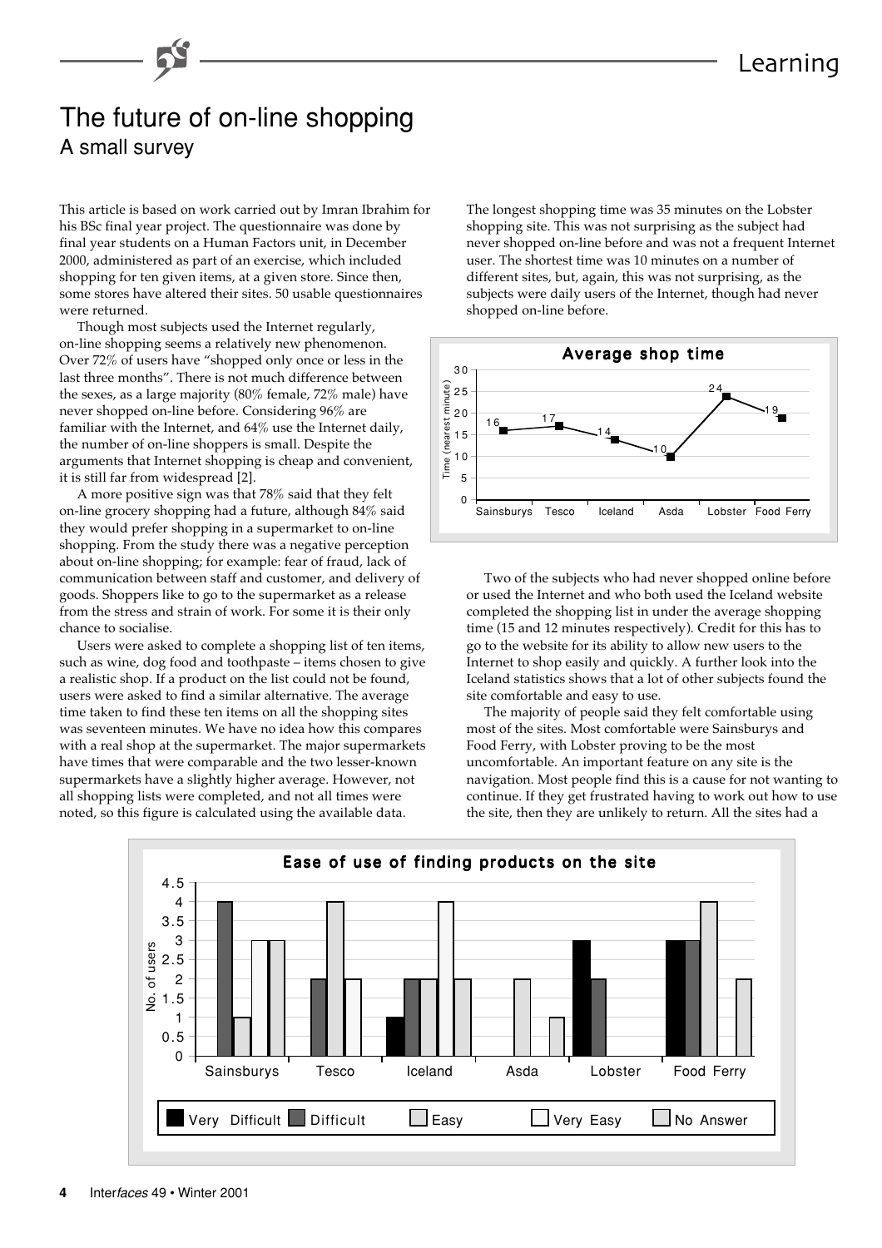# The future of on-line shopping A small survey

This article is based on work carried out by Imran Ibrahim for his BSc final year project. The questionnaire was done by final year students on a Human Factors unit, in December 2000, administered as part of an exercise, which included shopping for ten given items, at a given store. Since then, some stores have altered their sites. 50 usable questionnaires were returned.

Though most subjects used the Internet regularly, on-line shopping seems a relatively new phenomenon. Over 72% of users have "shopped only once or less in the last three months". There is not much difference between the sexes, as a large majority (80% female, 72% male) have never shopped on-line before. Considering 96% are familiar with the Internet, and 64% use the Internet daily, the number of on-line shoppers is small. Despite the arguments that Internet shopping is cheap and convenient, it is still far from widespread [2].

A more positive sign was that 78% said that they felt on-line grocery shopping had a future, although 84% said they would prefer shopping in a supermarket to on-line shopping. From the study there was a negative perception about on-line shopping; for example: fear of fraud, lack of communication between staff and customer, and delivery of goods. Shoppers like to go to the supermarket as a release from the stress and strain of work. For some it is their only chance to socialise.

Users were asked to complete a shopping list of ten items, such as wine, dog food and toothpaste – items chosen to give a realistic shop. If a product on the list could not be found, users were asked to find a similar alternative. The average time taken to find these ten items on all the shopping sites was seventeen minutes. We have no idea how this compares with a real shop at the supermarket. The major supermarkets have times that were comparable and the two lesser-known supermarkets have a slightly higher average. However, not all shopping lists were completed, and not all times were noted, so this figure is calculated using the available data.

The longest shopping time was 35 minutes on the Lobster shopping site. This was not surprising as the subject had never shopped on-line before and was not a frequent Internet user. The shortest time was 10 minutes on a number of different sites, but, again, this was not surprising, as the subjects were daily users of the Internet, though had never shopped on-line before.



Two of the subjects who had never shopped online before or used the Internet and who both used the Iceland website completed the shopping list in under the average shopping time (15 and 12 minutes respectively). Credit for this has to go to the website for its ability to allow new users to the Internet to shop easily and quickly. A further look into the Iceland statistics shows that a lot of other subjects found the site comfortable and easy to use.

The majority of people said they felt comfortable using most of the sites. Most comfortable were Sainsburys and Food Ferry, with Lobster proving to be the most uncomfortable. An important feature on any site is the navigation. Most people find this is a cause for not wanting to continue. If they get frustrated having to work out how to use the site, then they are unlikely to return. All the sites had a

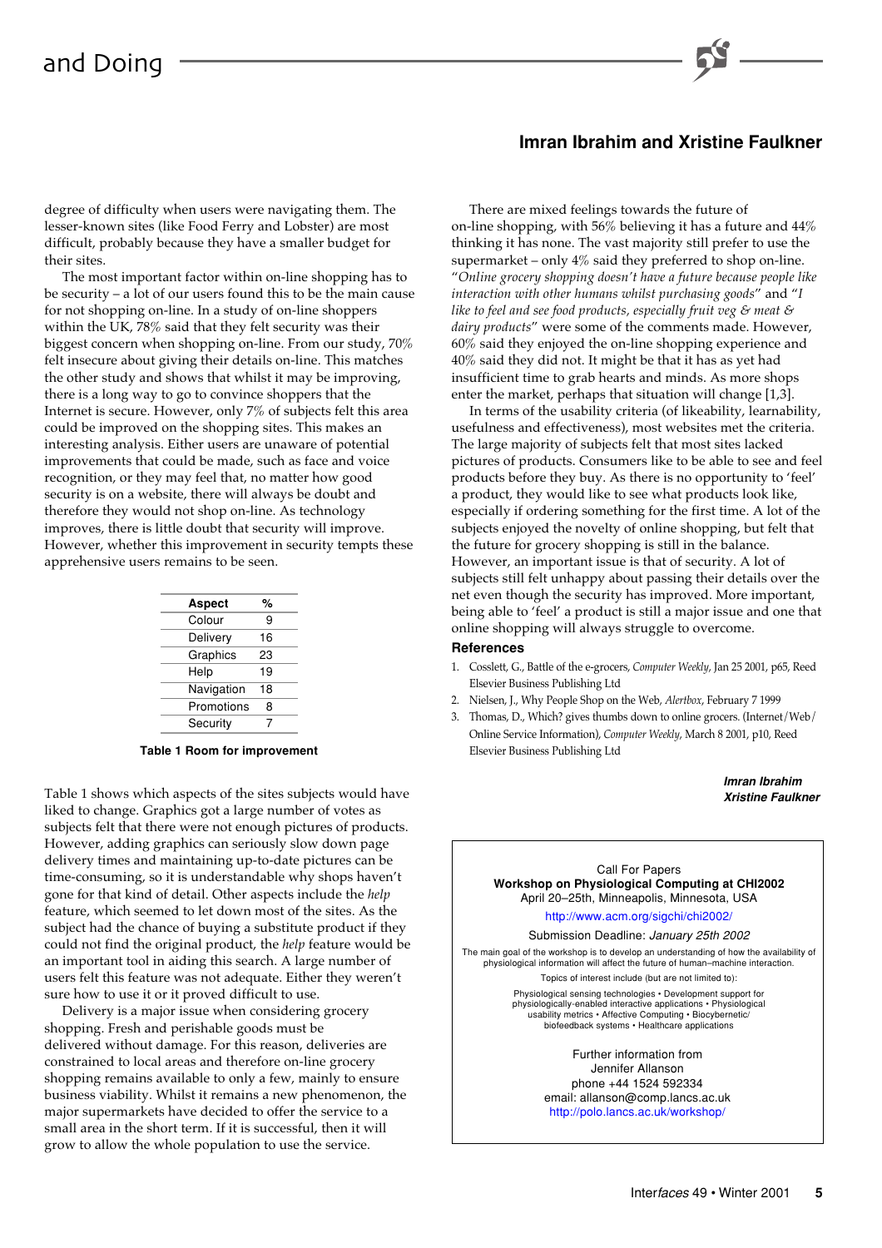# **Imran Ibrahim and Xristine Faulkner**

degree of difficulty when users were navigating them. The lesser-known sites (like Food Ferry and Lobster) are most difficult, probably because they have a smaller budget for their sites.

The most important factor within on-line shopping has to be security – a lot of our users found this to be the main cause for not shopping on-line. In a study of on-line shoppers within the UK, 78% said that they felt security was their biggest concern when shopping on-line. From our study, 70% felt insecure about giving their details on-line. This matches the other study and shows that whilst it may be improving, there is a long way to go to convince shoppers that the Internet is secure. However, only 7% of subjects felt this area could be improved on the shopping sites. This makes an interesting analysis. Either users are unaware of potential improvements that could be made, such as face and voice recognition, or they may feel that, no matter how good security is on a website, there will always be doubt and therefore they would not shop on-line. As technology improves, there is little doubt that security will improve. However, whether this improvement in security tempts these apprehensive users remains to be seen.

| Aspect     | %  |  |
|------------|----|--|
| Colour     | 9  |  |
| Delivery   | 16 |  |
| Graphics   | 23 |  |
| Help       | 19 |  |
| Navigation | 18 |  |
| Promotions | 8  |  |
| Security   | 7  |  |
|            |    |  |

**Table 1 Room for improvement**

Table 1 shows which aspects of the sites subjects would have liked to change. Graphics got a large number of votes as subjects felt that there were not enough pictures of products. However, adding graphics can seriously slow down page delivery times and maintaining up-to-date pictures can be time-consuming, so it is understandable why shops haven't gone for that kind of detail. Other aspects include the *help* feature, which seemed to let down most of the sites. As the subject had the chance of buying a substitute product if they could not find the original product, the *help* feature would be an important tool in aiding this search. A large number of users felt this feature was not adequate. Either they weren't sure how to use it or it proved difficult to use.

Delivery is a major issue when considering grocery shopping. Fresh and perishable goods must be delivered without damage. For this reason, deliveries are constrained to local areas and therefore on-line grocery shopping remains available to only a few, mainly to ensure business viability. Whilst it remains a new phenomenon, the major supermarkets have decided to offer the service to a small area in the short term. If it is successful, then it will grow to allow the whole population to use the service.

There are mixed feelings towards the future of on-line shopping, with 56% believing it has a future and 44% thinking it has none. The vast majority still prefer to use the supermarket – only 4% said they preferred to shop on-line. "*Online grocery shopping doesn't have a future because people like interaction with other humans whilst purchasing goods*" and "*I like to feel and see food products, especially fruit veg & meat & dairy products*" were some of the comments made. However, 60% said they enjoyed the on-line shopping experience and 40% said they did not. It might be that it has as yet had insufficient time to grab hearts and minds. As more shops enter the market, perhaps that situation will change [1,3].

In terms of the usability criteria (of likeability, learnability, usefulness and effectiveness), most websites met the criteria. The large majority of subjects felt that most sites lacked pictures of products. Consumers like to be able to see and feel products before they buy. As there is no opportunity to 'feel' a product, they would like to see what products look like, especially if ordering something for the first time. A lot of the subjects enjoyed the novelty of online shopping, but felt that the future for grocery shopping is still in the balance. However, an important issue is that of security. A lot of subjects still felt unhappy about passing their details over the net even though the security has improved. More important, being able to 'feel' a product is still a major issue and one that online shopping will always struggle to overcome.

# **References**

- 1. Cosslett, G., Battle of the e-grocers, *Computer Weekly*, Jan 25 2001, p65, Reed Elsevier Business Publishing Ltd
- 2. Nielsen, J., Why People Shop on the Web, *Alertbox*, February 7 1999
- 3. Thomas, D., Which? gives thumbs down to online grocers. (Internet/Web/ Online Service Information), *Computer Weekly*, March 8 2001, p10, Reed Elsevier Business Publishing Ltd

**Imran Ibrahim Xristine Faulkner**

### Call For Papers **Workshop on Physiological Computing at CHI2002** April 20–25th, Minneapolis, Minnesota, USA

### <http://www.acm.org/sigchi/chi2002/>

Submission Deadline: January 25th 2002

The main goal of the workshop is to develop an understanding of how the availability of physiological information will affect the future of human–machine interaction. Topics of interest include (but are not limited to):

> Physiological sensing technologies • Development support for physiologically-enabled interactive applications • Physiological usability metrics • Affective Computing • Biocybernetic/ biofeedback systems • Healthcare applications

> > Further information from Jennifer Allanson phone +44 1524 592334 email: allanson@comp.lancs.ac.uk <http://polo.lancs.ac.uk/workshop/>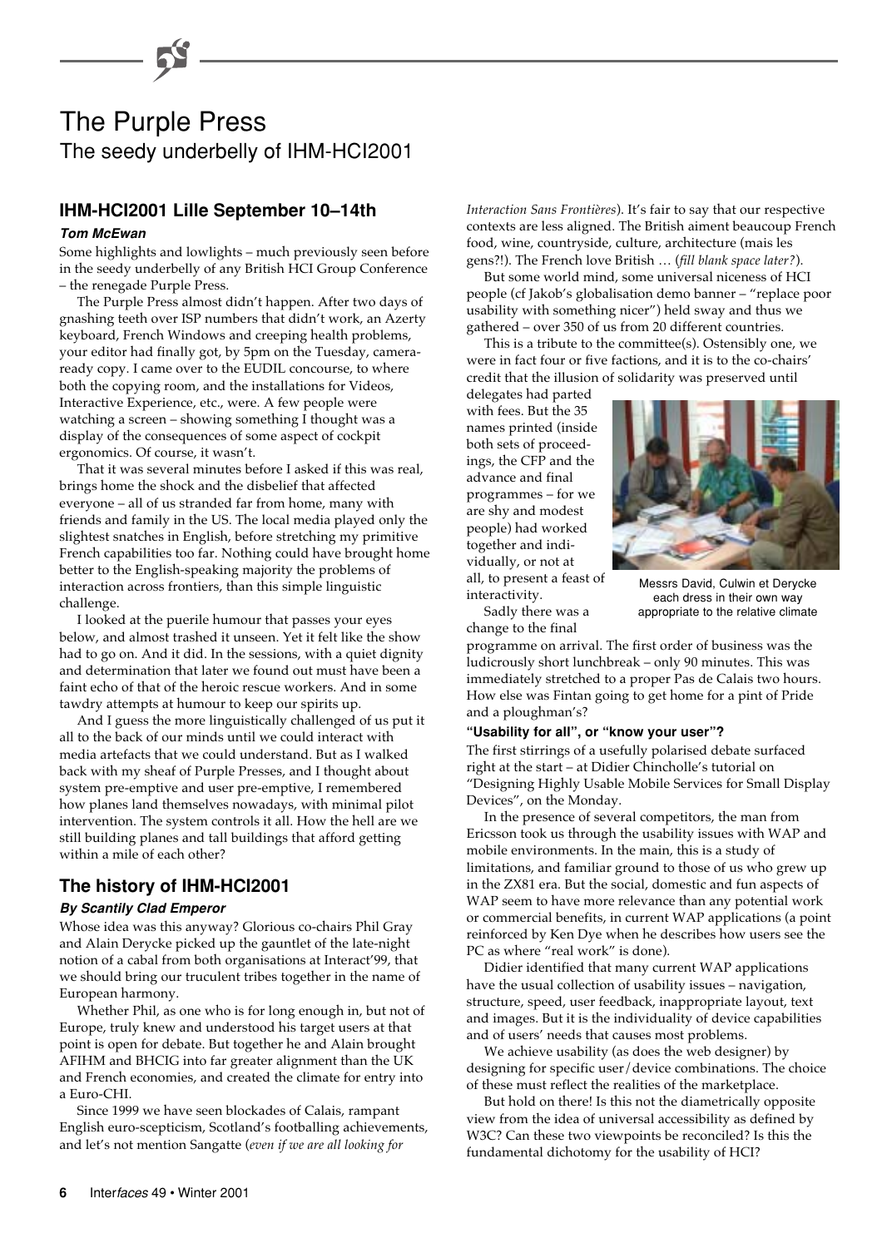

# **IHM-HCI2001 Lille September 10–14th**

### **Tom McEwan**

Some highlights and lowlights – much previously seen before in the seedy underbelly of any British HCI Group Conference – the renegade Purple Press.

The Purple Press almost didn't happen. After two days of gnashing teeth over ISP numbers that didn't work, an Azerty keyboard, French Windows and creeping health problems, your editor had finally got, by 5pm on the Tuesday, cameraready copy. I came over to the EUDIL concourse, to where both the copying room, and the installations for Videos, Interactive Experience, etc., were. A few people were watching a screen – showing something I thought was a display of the consequences of some aspect of cockpit ergonomics. Of course, it wasn't.

That it was several minutes before I asked if this was real, brings home the shock and the disbelief that affected everyone – all of us stranded far from home, many with friends and family in the US. The local media played only the slightest snatches in English, before stretching my primitive French capabilities too far. Nothing could have brought home better to the English-speaking majority the problems of interaction across frontiers, than this simple linguistic challenge.

I looked at the puerile humour that passes your eyes below, and almost trashed it unseen. Yet it felt like the show had to go on. And it did. In the sessions, with a quiet dignity and determination that later we found out must have been a faint echo of that of the heroic rescue workers. And in some tawdry attempts at humour to keep our spirits up.

And I guess the more linguistically challenged of us put it all to the back of our minds until we could interact with media artefacts that we could understand. But as I walked back with my sheaf of Purple Presses, and I thought about system pre-emptive and user pre-emptive, I remembered how planes land themselves nowadays, with minimal pilot intervention. The system controls it all. How the hell are we still building planes and tall buildings that afford getting within a mile of each other?

# **The history of IHM-HCI2001**

### **By Scantily Clad Emperor**

Whose idea was this anyway? Glorious co-chairs Phil Gray and Alain Derycke picked up the gauntlet of the late-night notion of a cabal from both organisations at Interact'99, that we should bring our truculent tribes together in the name of European harmony.

Whether Phil, as one who is for long enough in, but not of Europe, truly knew and understood his target users at that point is open for debate. But together he and Alain brought AFIHM and BHCIG into far greater alignment than the UK and French economies, and created the climate for entry into a Euro-CHI.

Since 1999 we have seen blockades of Calais, rampant English euro-scepticism, Scotland's footballing achievements, and let's not mention Sangatte (*even if we are all looking for*

*Interaction Sans Frontières*). It's fair to say that our respective contexts are less aligned. The British aiment beaucoup French food, wine, countryside, culture, architecture (mais les gens?!). The French love British … (*fill blank space later?*).

But some world mind, some universal niceness of HCI people (cf Jakob's globalisation demo banner – "replace poor usability with something nicer") held sway and thus we gathered – over 350 of us from 20 different countries.

This is a tribute to the committee(s). Ostensibly one, we were in fact four or five factions, and it is to the co-chairs' credit that the illusion of solidarity was preserved until

delegates had parted with fees. But the 35 names printed (inside both sets of proceedings, the CFP and the advance and final programmes – for we are shy and modest people) had worked together and individually, or not at all, to present a feast of interactivity.

Sadly there was a

and a ploughman's?



Messrs David, Culwin et Derycke each dress in their own way appropriate to the relative climate

change to the final programme on arrival. The first order of business was the ludicrously short lunchbreak – only 90 minutes. This was immediately stretched to a proper Pas de Calais two hours. How else was Fintan going to get home for a pint of Pride

### **"Usability for all", or "know your user"?**

The first stirrings of a usefully polarised debate surfaced right at the start – at Didier Chincholle's tutorial on "Designing Highly Usable Mobile Services for Small Display Devices", on the Monday.

In the presence of several competitors, the man from Ericsson took us through the usability issues with WAP and mobile environments. In the main, this is a study of limitations, and familiar ground to those of us who grew up in the ZX81 era. But the social, domestic and fun aspects of WAP seem to have more relevance than any potential work or commercial benefits, in current WAP applications (a point reinforced by Ken Dye when he describes how users see the PC as where "real work" is done).

Didier identified that many current WAP applications have the usual collection of usability issues – navigation, structure, speed, user feedback, inappropriate layout, text and images. But it is the individuality of device capabilities and of users' needs that causes most problems.

We achieve usability (as does the web designer) by designing for specific user/device combinations. The choice of these must reflect the realities of the marketplace.

But hold on there! Is this not the diametrically opposite view from the idea of universal accessibility as defined by W3C? Can these two viewpoints be reconciled? Is this the fundamental dichotomy for the usability of HCI?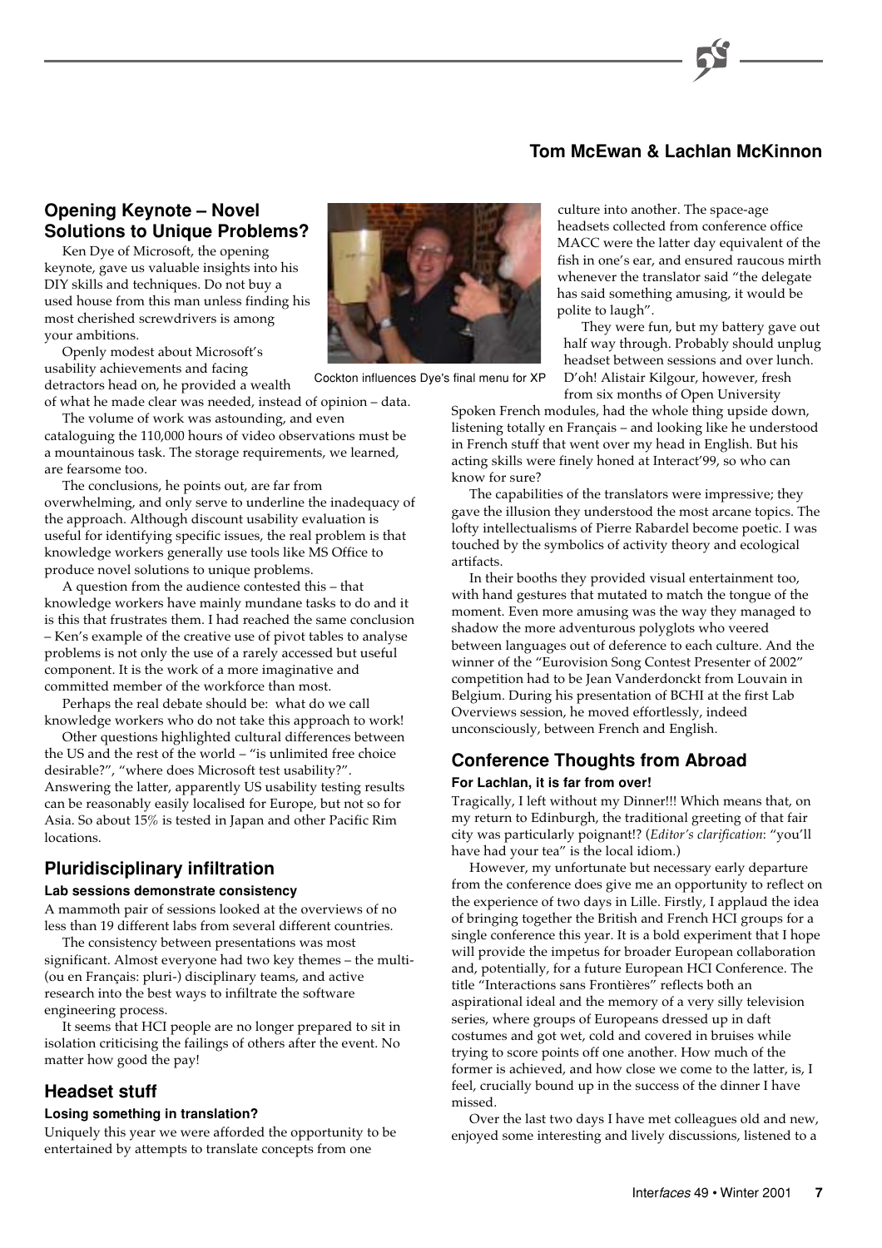# **Tom McEwan & Lachlan McKinnon**

# **Opening Keynote – Novel Solutions to Unique Problems?**

Ken Dye of Microsoft, the opening keynote, gave us valuable insights into his DIY skills and techniques. Do not buy a used house from this man unless finding his most cherished screwdrivers is among your ambitions.

Openly modest about Microsoft's usability achievements and facing detractors head on, he provided a wealth

of what he made clear was needed, instead of opinion – data.

The volume of work was astounding, and even cataloguing the 110,000 hours of video observations must be a mountainous task. The storage requirements, we learned, are fearsome too.

The conclusions, he points out, are far from overwhelming, and only serve to underline the inadequacy of the approach. Although discount usability evaluation is useful for identifying specific issues, the real problem is that knowledge workers generally use tools like MS Office to produce novel solutions to unique problems.

A question from the audience contested this – that knowledge workers have mainly mundane tasks to do and it is this that frustrates them. I had reached the same conclusion – Ken's example of the creative use of pivot tables to analyse problems is not only the use of a rarely accessed but useful component. It is the work of a more imaginative and committed member of the workforce than most.

Perhaps the real debate should be: what do we call knowledge workers who do not take this approach to work!

Other questions highlighted cultural differences between the US and the rest of the world – "is unlimited free choice desirable?", "where does Microsoft test usability?". Answering the latter, apparently US usability testing results can be reasonably easily localised for Europe, but not so for Asia. So about 15% is tested in Japan and other Pacific Rim **locations** 

# **Pluridisciplinary infiltration**

### **Lab sessions demonstrate consistency**

A mammoth pair of sessions looked at the overviews of no less than 19 different labs from several different countries.

The consistency between presentations was most significant. Almost everyone had two key themes – the multi- (ou en Français: pluri-) disciplinary teams, and active research into the best ways to infiltrate the software engineering process.

It seems that HCI people are no longer prepared to sit in isolation criticising the failings of others after the event. No matter how good the pay!

# **Headset stuff**

### **Losing something in translation?**

Uniquely this year we were afforded the opportunity to be entertained by attempts to translate concepts from one



Cockton influences Dye's final menu for XP

culture into another. The space-age headsets collected from conference office MACC were the latter day equivalent of the fish in one's ear, and ensured raucous mirth whenever the translator said "the delegate has said something amusing, it would be polite to laugh".

They were fun, but my battery gave out half way through. Probably should unplug headset between sessions and over lunch. D'oh! Alistair Kilgour, however, fresh from six months of Open University

Spoken French modules, had the whole thing upside down, listening totally en Français – and looking like he understood in French stuff that went over my head in English. But his acting skills were finely honed at Interact'99, so who can know for sure?

The capabilities of the translators were impressive; they gave the illusion they understood the most arcane topics. The lofty intellectualisms of Pierre Rabardel become poetic. I was touched by the symbolics of activity theory and ecological artifacts.

In their booths they provided visual entertainment too, with hand gestures that mutated to match the tongue of the moment. Even more amusing was the way they managed to shadow the more adventurous polyglots who veered between languages out of deference to each culture. And the winner of the "Eurovision Song Contest Presenter of 2002" competition had to be Jean Vanderdonckt from Louvain in Belgium. During his presentation of BCHI at the first Lab Overviews session, he moved effortlessly, indeed unconsciously, between French and English.

# **Conference Thoughts from Abroad**

### **For Lachlan, it is far from over!**

Tragically, I left without my Dinner!!! Which means that, on my return to Edinburgh, the traditional greeting of that fair city was particularly poignant!? (*Editor's clarification*: "you'll have had your tea" is the local idiom.)

However, my unfortunate but necessary early departure from the conference does give me an opportunity to reflect on the experience of two days in Lille. Firstly, I applaud the idea of bringing together the British and French HCI groups for a single conference this year. It is a bold experiment that I hope will provide the impetus for broader European collaboration and, potentially, for a future European HCI Conference. The title "Interactions sans Frontières" reflects both an aspirational ideal and the memory of a very silly television series, where groups of Europeans dressed up in daft costumes and got wet, cold and covered in bruises while trying to score points off one another. How much of the former is achieved, and how close we come to the latter, is, I feel, crucially bound up in the success of the dinner I have missed.

Over the last two days I have met colleagues old and new, enjoyed some interesting and lively discussions, listened to a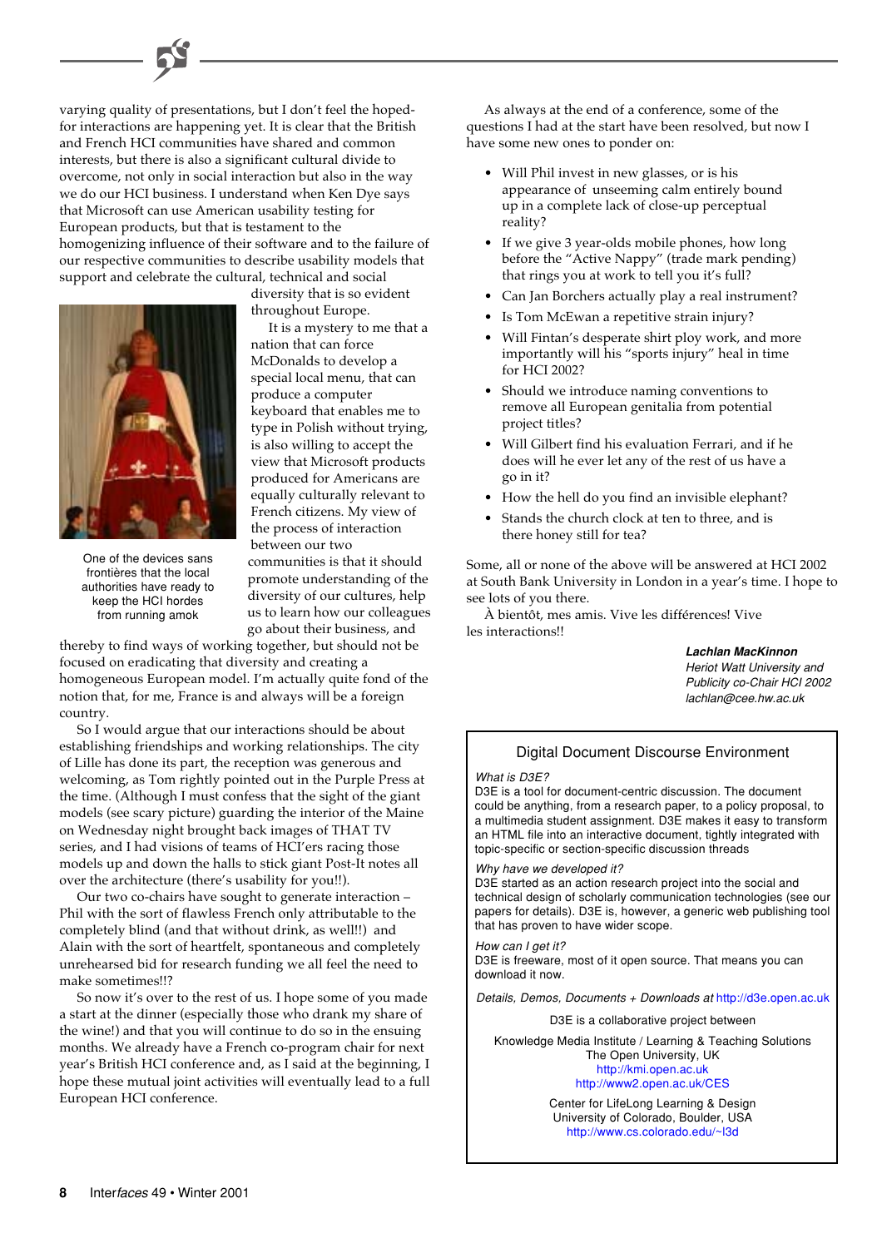varying quality of presentations, but I don't feel the hopedfor interactions are happening yet. It is clear that the British and French HCI communities have shared and common interests, but there is also a significant cultural divide to overcome, not only in social interaction but also in the way we do our HCI business. I understand when Ken Dye says that Microsoft can use American usability testing for European products, but that is testament to the homogenizing influence of their software and to the failure of our respective communities to describe usability models that support and celebrate the cultural, technical and social



One of the devices sans frontières that the local authorities have ready to keep the HCI hordes from running amok

diversity that is so evident throughout Europe.

It is a mystery to me that a nation that can force McDonalds to develop a special local menu, that can produce a computer keyboard that enables me to type in Polish without trying, is also willing to accept the view that Microsoft products produced for Americans are equally culturally relevant to French citizens. My view of the process of interaction between our two communities is that it should

promote understanding of the diversity of our cultures, help us to learn how our colleagues go about their business, and

thereby to find ways of working together, but should not be focused on eradicating that diversity and creating a homogeneous European model. I'm actually quite fond of the notion that, for me, France is and always will be a foreign country.

So I would argue that our interactions should be about establishing friendships and working relationships. The city of Lille has done its part, the reception was generous and welcoming, as Tom rightly pointed out in the Purple Press at the time. (Although I must confess that the sight of the giant models (see scary picture) guarding the interior of the Maine on Wednesday night brought back images of THAT TV series, and I had visions of teams of HCI'ers racing those models up and down the halls to stick giant Post-It notes all over the architecture (there's usability for you!!).

Our two co-chairs have sought to generate interaction – Phil with the sort of flawless French only attributable to the completely blind (and that without drink, as well!!) and Alain with the sort of heartfelt, spontaneous and completely unrehearsed bid for research funding we all feel the need to make sometimes!!?

So now it's over to the rest of us. I hope some of you made a start at the dinner (especially those who drank my share of the wine!) and that you will continue to do so in the ensuing months. We already have a French co-program chair for next year's British HCI conference and, as I said at the beginning, I hope these mutual joint activities will eventually lead to a full European HCI conference.

As always at the end of a conference, some of the questions I had at the start have been resolved, but now I have some new ones to ponder on:

- Will Phil invest in new glasses, or is his appearance of unseeming calm entirely bound up in a complete lack of close-up perceptual reality?
- If we give 3 year-olds mobile phones, how long before the "Active Nappy" (trade mark pending) that rings you at work to tell you it's full?
- Can Jan Borchers actually play a real instrument?
- Is Tom McEwan a repetitive strain injury?
- Will Fintan's desperate shirt ploy work, and more importantly will his "sports injury" heal in time for HCI 2002?
- Should we introduce naming conventions to remove all European genitalia from potential project titles?
- Will Gilbert find his evaluation Ferrari, and if he does will he ever let any of the rest of us have a go in it?
- How the hell do you find an invisible elephant?
- Stands the church clock at ten to three, and is there honey still for tea?

Some, all or none of the above will be answered at HCI 2002 at South Bank University in London in a year's time. I hope to see lots of you there.

À bientôt, mes amis. Vive les différences! Vive les interactions!!

> **Lachlan MacKinnon** Heriot Watt University and Publicity co-Chair HCI 2002 lachlan@cee.hw.ac.uk

# Digital Document Discourse Environment

What is D3E?

D3E is a tool for document-centric discussion. The document could be anything, from a research paper, to a policy proposal, to a multimedia student assignment. D3E makes it easy to transform an HTML file into an interactive document, tightly integrated with topic-specific or section-specific discussion threads

### Why have we developed it?

D3E started as an action research project into the social and technical design of scholarly communication technologies (see our papers for details). D3E is, however, a generic web publishing tool that has proven to have wider scope.

### How can I get it?

D3E is freeware, most of it open source. That means you can download it now.

Details, Demos, Documents + Downloads at <http://d3e.open.ac.uk>

D3E is a collaborative project between

Knowledge Media Institute / Learning & Teaching Solutions The Open University, UK <http://kmi.open.ac.uk> [http://www2.open.ac.uk/CES](http://www2.open.ac.uk/CES/)

> Center for LifeLong Learning & Design University of Colorado, Boulder, USA [http://www.cs.colorado.edu/~l3d](http://www.cs.colorado.edu/~l3d/)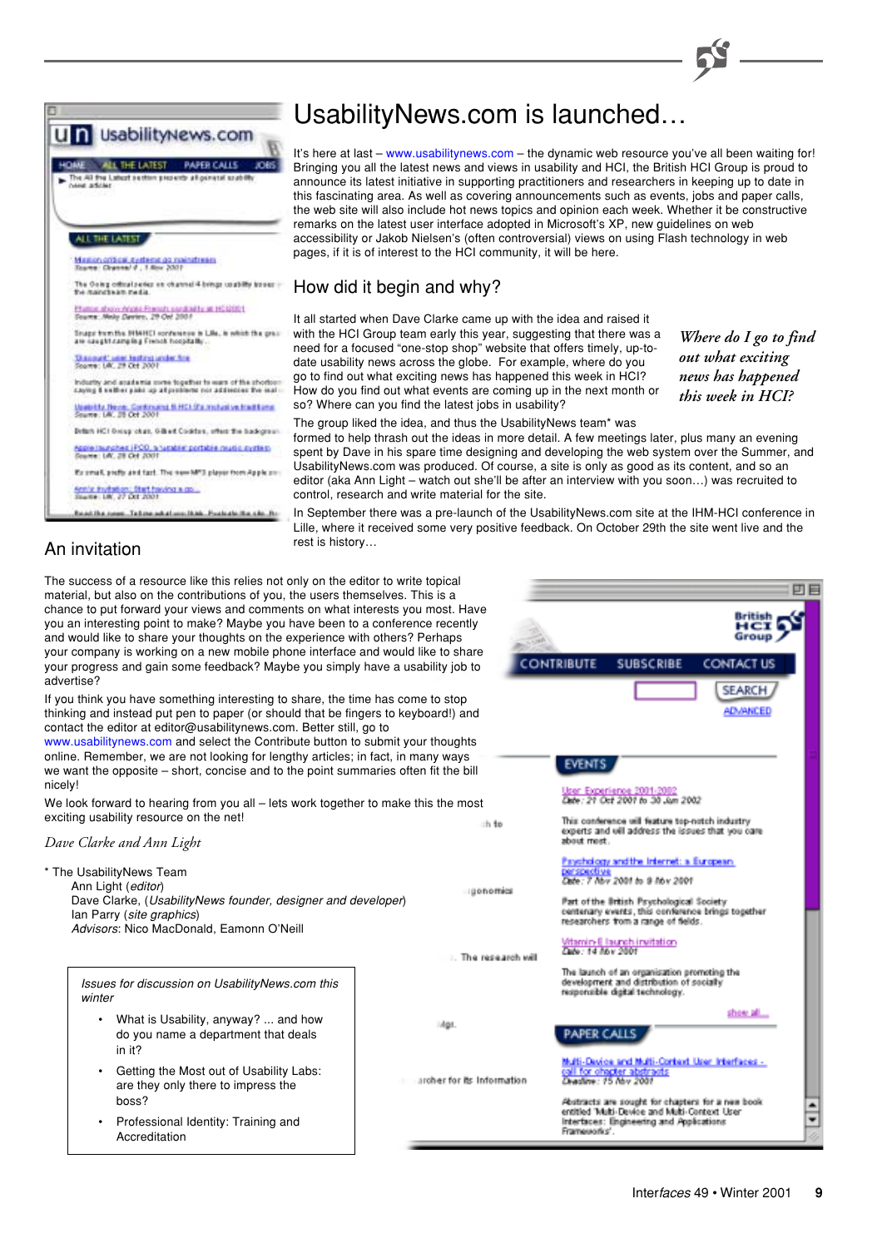

m. Talim adalam ikak. Paskala ika shi fte

An invitation

# UsabilityNews.com is launched…

It's here at last – [www.usabilitynews.com](http://www.usabilitynews.com/) – the dynamic web resource you've all been waiting for! Bringing you all the latest news and views in usability and HCI, the British HCI Group is proud to announce its latest initiative in supporting practitioners and researchers in keeping up to date in this fascinating area. As well as covering announcements such as events, jobs and paper calls, the web site will also include hot news topics and opinion each week. Whether it be constructive remarks on the latest user interface adopted in Microsoft's XP, new guidelines on web accessibility or Jakob Nielsen's (often controversial) views on using Flash technology in web pages, if it is of interest to the HCI community, it will be here.

# How did it begin and why?

It all started when Dave Clarke came up with the idea and raised it with the HCI Group team early this year, suggesting that there was a need for a focused "one-stop shop" website that offers timely, up-todate usability news across the globe. For example, where do you go to find out what exciting news has happened this week in HCI? How do you find out what events are coming up in the next month or so? Where can you find the latest jobs in usability?

Mor

*Where do I go to find out what exciting news has happened this week in HCI?*

The group liked the idea, and thus the UsabilityNews team\* was formed to help thrash out the ideas in more detail. A few meetings later, plus many an evening spent by Dave in his spare time designing and developing the web system over the Summer, and

UsabilityNews.com was produced. Of course, a site is only as good as its content, and so an editor (aka Ann Light – watch out she'll be after an interview with you soon…) was recruited to control, research and write material for the site.

In September there was a pre-launch of the UsabilityNews.com site at the IHM-HCI conference in Lille, where it received some very positive feedback. On October 29th the site went live and the rest is history…

The success of a resource like this relies not only on the editor to write topical material, but also on the contributions of you, the users themselves. This is a chance to put forward your views and comments on what interests you most. Have you an interesting point to make? Maybe you have been to a conference recently and would like to share your thoughts on the experience with others? Perhaps your company is working on a new mobile phone interface and would like to share your progress and gain some feedback? Maybe you simply have a usability job to advertise?

If you think you have something interesting to share, the time has come to stop thinking and instead put pen to paper (or should that be fingers to keyboard!) and contact the editor at editor@usabilitynews.com. Better still, go to

[www.usabilitynews.com](http://www.usabilitynews.com/) and select the Contribute button to submit your thoughts online. Remember, we are not looking for lengthy articles; in fact, in many ways we want the opposite – short, concise and to the point summaries often fit the bill nicely!

We look forward to hearing from you all - lets work together to make this the most exciting usability resource on the net!

### *Dave Clarke and Ann Light*

\* The UsabilityNews Team Ann Light (editor) Dave Clarke, (UsabilityNews founder, designer and developer) Ian Parry (site graphics) Advisors: Nico MacDonald, Eamonn O'Neill

Issues for discussion on UsabilityNews.com this winter

- What is Usability, anyway? ... and how do you name a department that deals in it?
- Getting the Most out of Usability Labs: are they only there to impress the boss?
- Professional Identity: Training and Accreditation

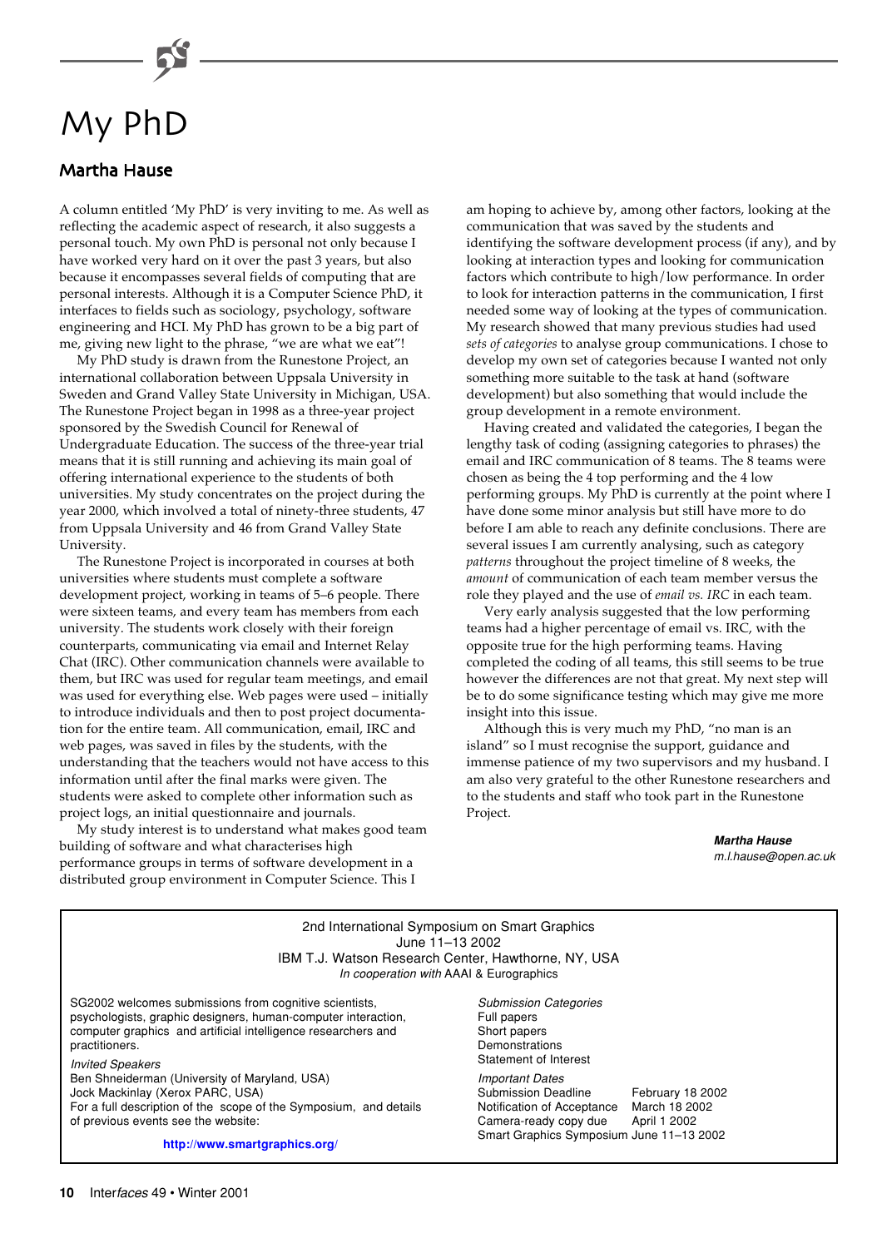# My PhD

# **Martha Hause**

A column entitled 'My PhD' is very inviting to me. As well as reflecting the academic aspect of research, it also suggests a personal touch. My own PhD is personal not only because I have worked very hard on it over the past 3 years, but also because it encompasses several fields of computing that are personal interests. Although it is a Computer Science PhD, it interfaces to fields such as sociology, psychology, software engineering and HCI. My PhD has grown to be a big part of me, giving new light to the phrase, "we are what we eat"!

My PhD study is drawn from the Runestone Project, an international collaboration between Uppsala University in Sweden and Grand Valley State University in Michigan, USA. The Runestone Project began in 1998 as a three-year project sponsored by the Swedish Council for Renewal of Undergraduate Education. The success of the three-year trial means that it is still running and achieving its main goal of offering international experience to the students of both universities. My study concentrates on the project during the year 2000, which involved a total of ninety-three students, 47 from Uppsala University and 46 from Grand Valley State University.

The Runestone Project is incorporated in courses at both universities where students must complete a software development project, working in teams of 5–6 people. There were sixteen teams, and every team has members from each university. The students work closely with their foreign counterparts, communicating via email and Internet Relay Chat (IRC). Other communication channels were available to them, but IRC was used for regular team meetings, and email was used for everything else. Web pages were used – initially to introduce individuals and then to post project documentation for the entire team. All communication, email, IRC and web pages, was saved in files by the students, with the understanding that the teachers would not have access to this information until after the final marks were given. The students were asked to complete other information such as project logs, an initial questionnaire and journals.

My study interest is to understand what makes good team building of software and what characterises high performance groups in terms of software development in a distributed group environment in Computer Science. This I

am hoping to achieve by, among other factors, looking at the communication that was saved by the students and identifying the software development process (if any), and by looking at interaction types and looking for communication factors which contribute to high/low performance. In order to look for interaction patterns in the communication, I first needed some way of looking at the types of communication. My research showed that many previous studies had used *sets of categories* to analyse group communications. I chose to develop my own set of categories because I wanted not only something more suitable to the task at hand (software development) but also something that would include the group development in a remote environment.

Having created and validated the categories, I began the lengthy task of coding (assigning categories to phrases) the email and IRC communication of 8 teams. The 8 teams were chosen as being the 4 top performing and the 4 low performing groups. My PhD is currently at the point where I have done some minor analysis but still have more to do before I am able to reach any definite conclusions. There are several issues I am currently analysing, such as category *patterns* throughout the project timeline of 8 weeks, the *amount* of communication of each team member versus the role they played and the use of *email vs. IRC* in each team.

Very early analysis suggested that the low performing teams had a higher percentage of email vs. IRC, with the opposite true for the high performing teams. Having completed the coding of all teams, this still seems to be true however the differences are not that great. My next step will be to do some significance testing which may give me more insight into this issue.

Although this is very much my PhD, "no man is an island" so I must recognise the support, guidance and immense patience of my two supervisors and my husband. I am also very grateful to the other Runestone researchers and to the students and staff who took part in the Runestone Project.

### **Martha Hause** m.l.hause@open.ac.uk

| 2nd International Symposium on Smart Graphics<br>June 11-13 2002<br>IBM T.J. Watson Research Center, Hawthorne, NY, USA<br>In cooperation with AAAI & Eurographics                                                                    |                                                                                                                                                  |                                                   |
|---------------------------------------------------------------------------------------------------------------------------------------------------------------------------------------------------------------------------------------|--------------------------------------------------------------------------------------------------------------------------------------------------|---------------------------------------------------|
| SG2002 welcomes submissions from cognitive scientists,<br>psychologists, graphic designers, human-computer interaction,<br>computer graphics and artificial intelligence researchers and<br>practitioners.<br><b>Invited Speakers</b> | <b>Submission Categories</b><br>Full papers<br>Short papers<br>Demonstrations<br>Statement of Interest                                           |                                                   |
| Ben Shneiderman (University of Maryland, USA)<br>Jock Mackinlay (Xerox PARC, USA)<br>For a full description of the scope of the Symposium, and details<br>of previous events see the website:<br>http://www.smartgraphics.org/        | <i>Important Dates</i><br>Submission Deadline<br>Notification of Acceptance<br>Camera-ready copy due<br>Smart Graphics Symposium June 11-13 2002 | February 18 2002<br>March 18 2002<br>April 1 2002 |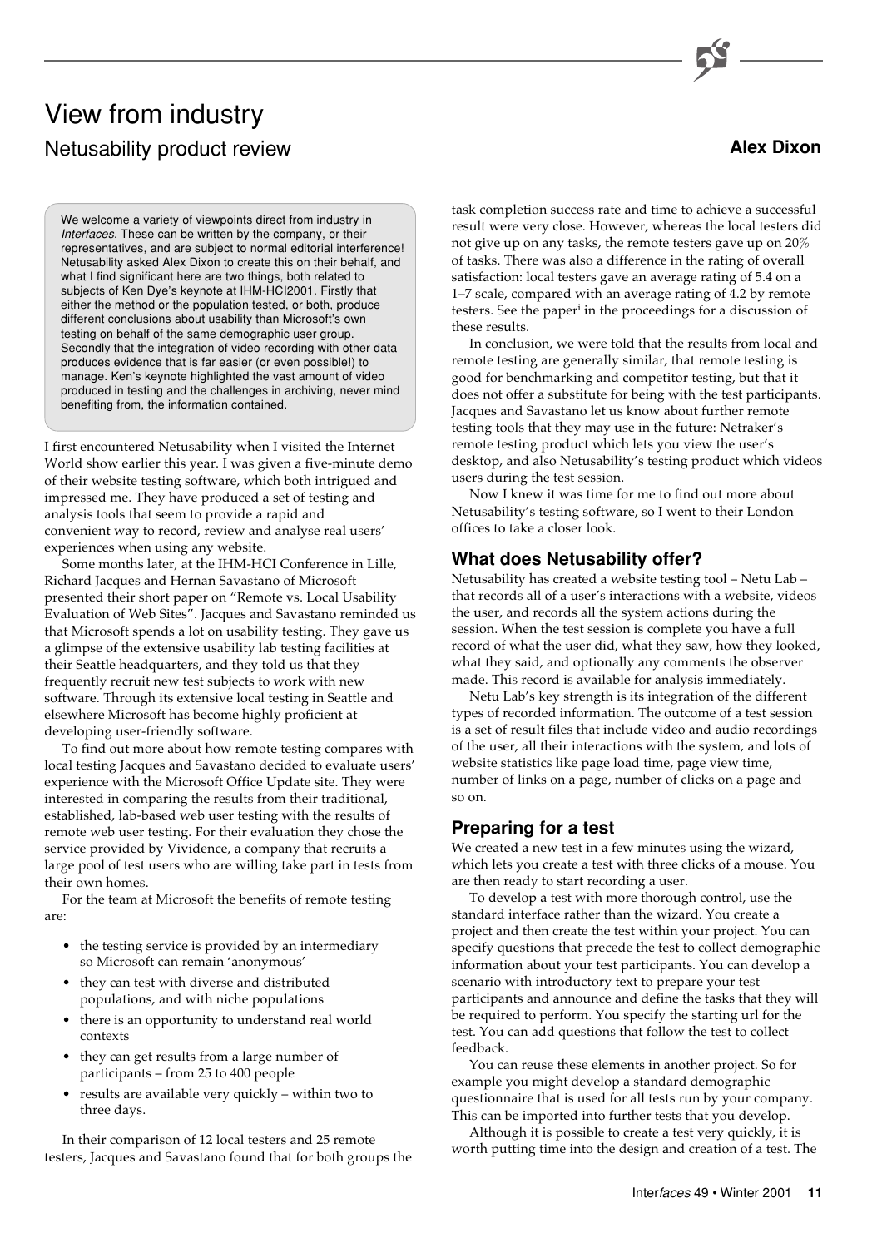**Alex Dixon**

# View from industry Netusability product review

We welcome a variety of viewpoints direct from industry in Interfaces. These can be written by the company, or their representatives, and are subject to normal editorial interference! Netusability asked Alex Dixon to create this on their behalf, and what I find significant here are two things, both related to subjects of Ken Dye's keynote at IHM-HCI2001. Firstly that either the method or the population tested, or both, produce different conclusions about usability than Microsoft's own testing on behalf of the same demographic user group. Secondly that the integration of video recording with other data produces evidence that is far easier (or even possible!) to manage. Ken's keynote highlighted the vast amount of video produced in testing and the challenges in archiving, never mind benefiting from, the information contained.

I first encountered Netusability when I visited the Internet World show earlier this year. I was given a five-minute demo of their website testing software, which both intrigued and impressed me. They have produced a set of testing and analysis tools that seem to provide a rapid and convenient way to record, review and analyse real users' experiences when using any website.

Some months later, at the IHM-HCI Conference in Lille, Richard Jacques and Hernan Savastano of Microsoft presented their short paper on "Remote vs. Local Usability Evaluation of Web Sites". Jacques and Savastano reminded us that Microsoft spends a lot on usability testing. They gave us a glimpse of the extensive usability lab testing facilities at their Seattle headquarters, and they told us that they frequently recruit new test subjects to work with new software. Through its extensive local testing in Seattle and elsewhere Microsoft has become highly proficient at developing user-friendly software.

To find out more about how remote testing compares with local testing Jacques and Savastano decided to evaluate users' experience with the Microsoft Office Update site. They were interested in comparing the results from their traditional, established, lab-based web user testing with the results of remote web user testing. For their evaluation they chose the service provided by Vividence, a company that recruits a large pool of test users who are willing take part in tests from their own homes.

For the team at Microsoft the benefits of remote testing are:

- the testing service is provided by an intermediary so Microsoft can remain 'anonymous'
- they can test with diverse and distributed populations, and with niche populations
- there is an opportunity to understand real world contexts
- they can get results from a large number of participants – from 25 to 400 people
- results are available very quickly within two to three days.

In their comparison of 12 local testers and 25 remote testers, Jacques and Savastano found that for both groups the

task completion success rate and time to achieve a successful result were very close. However, whereas the local testers did not give up on any tasks, the remote testers gave up on 20% of tasks. There was also a difference in the rating of overall satisfaction: local testers gave an average rating of 5.4 on a 1–7 scale, compared with an average rating of 4.2 by remote testers. See the paper<sup>i</sup> in the proceedings for a discussion of these results.

In conclusion, we were told that the results from local and remote testing are generally similar, that remote testing is good for benchmarking and competitor testing, but that it does not offer a substitute for being with the test participants. Jacques and Savastano let us know about further remote testing tools that they may use in the future: Netraker's remote testing product which lets you view the user's desktop, and also Netusability's testing product which videos users during the test session.

Now I knew it was time for me to find out more about Netusability's testing software, so I went to their London offices to take a closer look.

# **What does Netusability offer?**

Netusability has created a website testing tool – Netu Lab – that records all of a user's interactions with a website, videos the user, and records all the system actions during the session. When the test session is complete you have a full record of what the user did, what they saw, how they looked, what they said, and optionally any comments the observer made. This record is available for analysis immediately.

Netu Lab's key strength is its integration of the different types of recorded information. The outcome of a test session is a set of result files that include video and audio recordings of the user, all their interactions with the system, and lots of website statistics like page load time, page view time, number of links on a page, number of clicks on a page and so on.

# **Preparing for a test**

We created a new test in a few minutes using the wizard, which lets you create a test with three clicks of a mouse. You are then ready to start recording a user.

To develop a test with more thorough control, use the standard interface rather than the wizard. You create a project and then create the test within your project. You can specify questions that precede the test to collect demographic information about your test participants. You can develop a scenario with introductory text to prepare your test participants and announce and define the tasks that they will be required to perform. You specify the starting url for the test. You can add questions that follow the test to collect feedback.

You can reuse these elements in another project. So for example you might develop a standard demographic questionnaire that is used for all tests run by your company. This can be imported into further tests that you develop.

Although it is possible to create a test very quickly, it is worth putting time into the design and creation of a test. The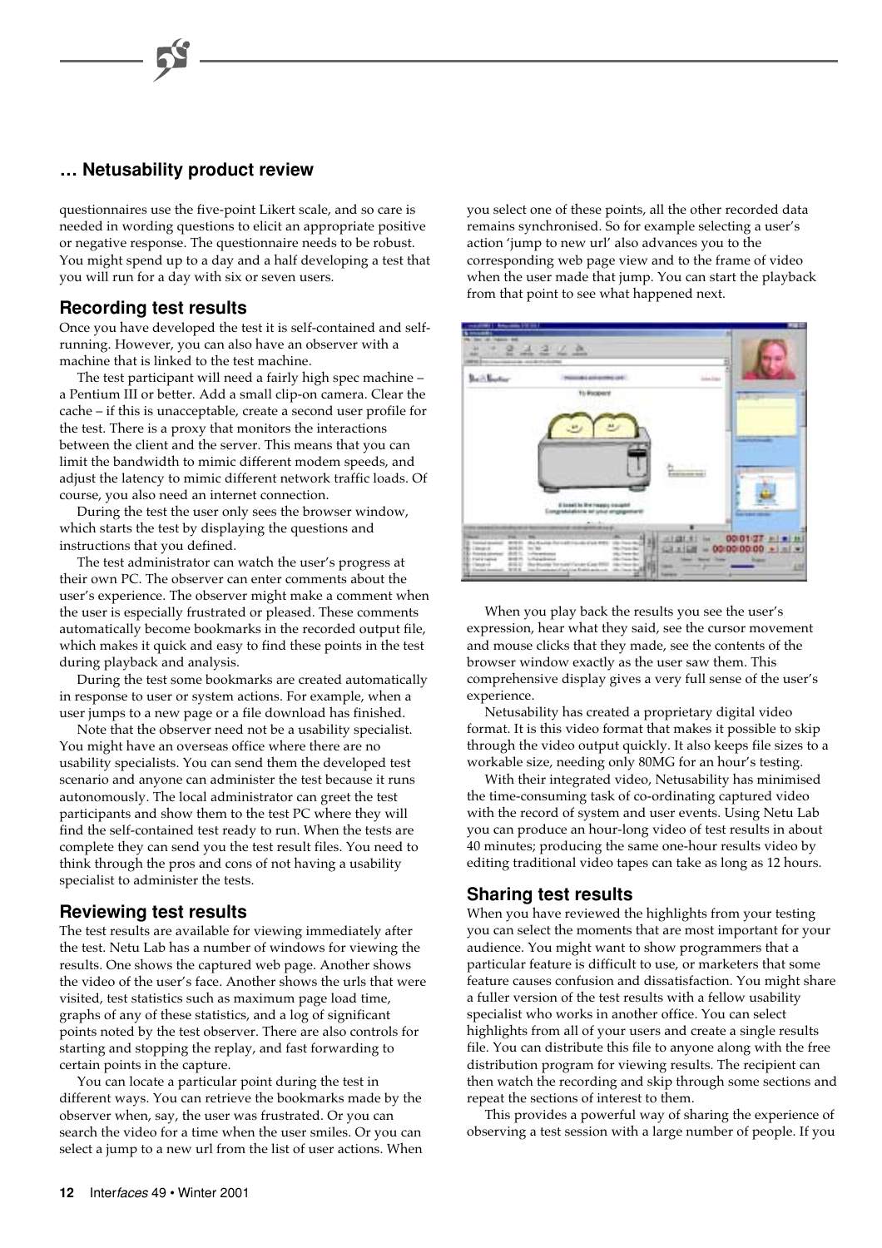# **… Netusability product review**

questionnaires use the five-point Likert scale, and so care is needed in wording questions to elicit an appropriate positive or negative response. The questionnaire needs to be robust. You might spend up to a day and a half developing a test that you will run for a day with six or seven users.

# **Recording test results**

Once you have developed the test it is self-contained and selfrunning. However, you can also have an observer with a machine that is linked to the test machine.

The test participant will need a fairly high spec machine – a Pentium III or better. Add a small clip-on camera. Clear the cache – if this is unacceptable, create a second user profile for the test. There is a proxy that monitors the interactions between the client and the server. This means that you can limit the bandwidth to mimic different modem speeds, and adjust the latency to mimic different network traffic loads. Of course, you also need an internet connection.

During the test the user only sees the browser window, which starts the test by displaying the questions and instructions that you defined.

The test administrator can watch the user's progress at their own PC. The observer can enter comments about the user's experience. The observer might make a comment when the user is especially frustrated or pleased. These comments automatically become bookmarks in the recorded output file, which makes it quick and easy to find these points in the test during playback and analysis.

During the test some bookmarks are created automatically in response to user or system actions. For example, when a user jumps to a new page or a file download has finished.

Note that the observer need not be a usability specialist. You might have an overseas office where there are no usability specialists. You can send them the developed test scenario and anyone can administer the test because it runs autonomously. The local administrator can greet the test participants and show them to the test PC where they will find the self-contained test ready to run. When the tests are complete they can send you the test result files. You need to think through the pros and cons of not having a usability specialist to administer the tests.

# **Reviewing test results**

The test results are available for viewing immediately after the test. Netu Lab has a number of windows for viewing the results. One shows the captured web page. Another shows the video of the user's face. Another shows the urls that were visited, test statistics such as maximum page load time, graphs of any of these statistics, and a log of significant points noted by the test observer. There are also controls for starting and stopping the replay, and fast forwarding to certain points in the capture.

You can locate a particular point during the test in different ways. You can retrieve the bookmarks made by the observer when, say, the user was frustrated. Or you can search the video for a time when the user smiles. Or you can select a jump to a new url from the list of user actions. When you select one of these points, all the other recorded data remains synchronised. So for example selecting a user's action 'jump to new url' also advances you to the corresponding web page view and to the frame of video when the user made that jump. You can start the playback from that point to see what happened next.



When you play back the results you see the user's expression, hear what they said, see the cursor movement and mouse clicks that they made, see the contents of the browser window exactly as the user saw them. This comprehensive display gives a very full sense of the user's experience.

Netusability has created a proprietary digital video format. It is this video format that makes it possible to skip through the video output quickly. It also keeps file sizes to a workable size, needing only 80MG for an hour's testing.

With their integrated video, Netusability has minimised the time-consuming task of co-ordinating captured video with the record of system and user events. Using Netu Lab you can produce an hour-long video of test results in about 40 minutes; producing the same one-hour results video by editing traditional video tapes can take as long as 12 hours.

# **Sharing test results**

When you have reviewed the highlights from your testing you can select the moments that are most important for your audience. You might want to show programmers that a particular feature is difficult to use, or marketers that some feature causes confusion and dissatisfaction. You might share a fuller version of the test results with a fellow usability specialist who works in another office. You can select highlights from all of your users and create a single results file. You can distribute this file to anyone along with the free distribution program for viewing results. The recipient can then watch the recording and skip through some sections and repeat the sections of interest to them.

This provides a powerful way of sharing the experience of observing a test session with a large number of people. If you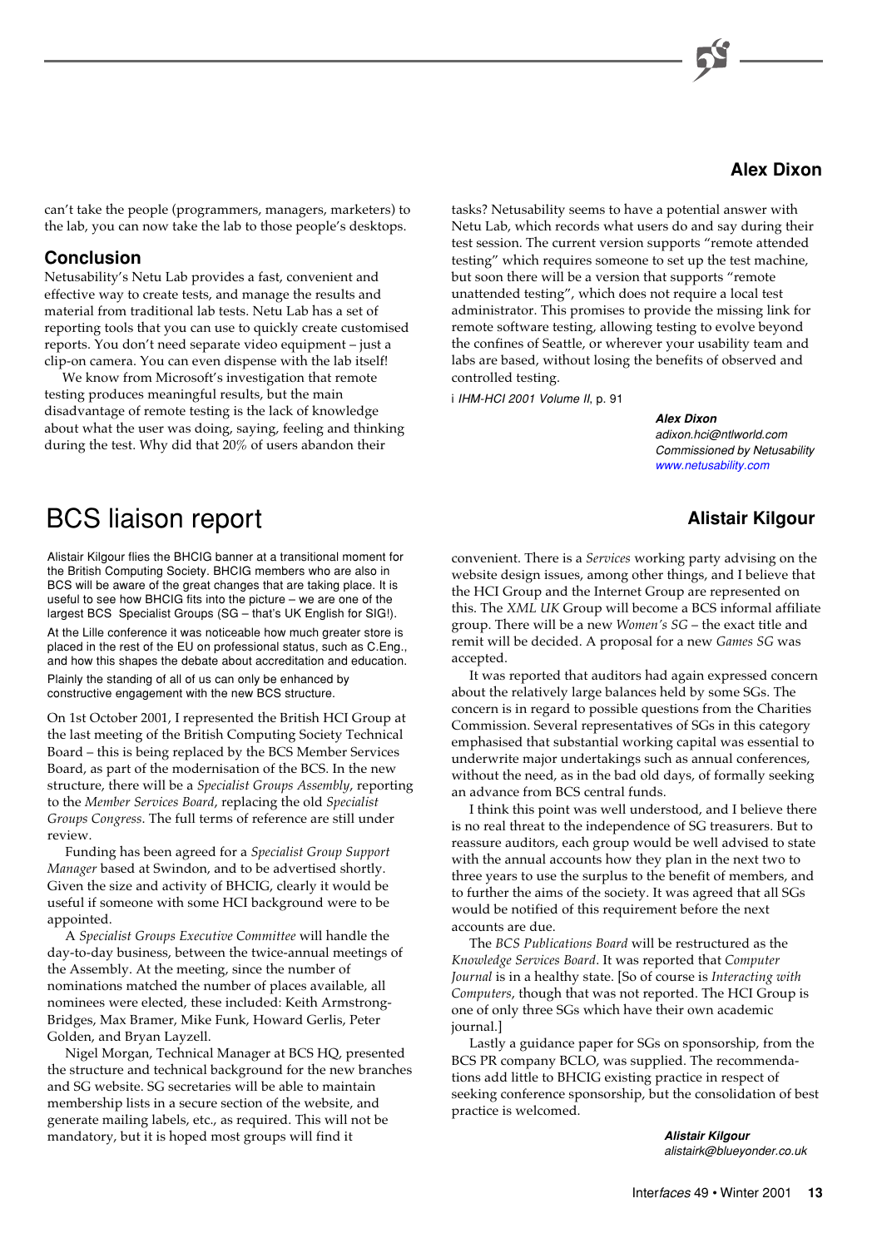

can't take the people (programmers, managers, marketers) to the lab, you can now take the lab to those people's desktops.

# **Conclusion**

Netusability's Netu Lab provides a fast, convenient and effective way to create tests, and manage the results and material from traditional lab tests. Netu Lab has a set of reporting tools that you can use to quickly create customised reports. You don't need separate video equipment – just a clip-on camera. You can even dispense with the lab itself!

We know from Microsoft's investigation that remote testing produces meaningful results, but the main disadvantage of remote testing is the lack of knowledge about what the user was doing, saying, feeling and thinking during the test. Why did that 20% of users abandon their

tasks? Netusability seems to have a potential answer with Netu Lab, which records what users do and say during their test session. The current version supports "remote attended testing" which requires someone to set up the test machine, but soon there will be a version that supports "remote unattended testing", which does not require a local test administrator. This promises to provide the missing link for remote software testing, allowing testing to evolve beyond the confines of Seattle, or wherever your usability team and labs are based, without losing the benefits of observed and controlled testing.

i IHM-HCI 2001 Volume II, p. 91

### **Alex Dixon**

adixon.hci@ntlworld.com Commissioned by Netusability [www.netusability.com](http://www.netusability.com)

# **Alistair Kilgour**

# BCS liaison report

Alistair Kilgour flies the BHCIG banner at a transitional moment for the British Computing Society. BHCIG members who are also in BCS will be aware of the great changes that are taking place. It is useful to see how BHCIG fits into the picture – we are one of the largest BCS Specialist Groups (SG – that's UK English for SIG!).

At the Lille conference it was noticeable how much greater store is placed in the rest of the EU on professional status, such as C.Eng., and how this shapes the debate about accreditation and education. Plainly the standing of all of us can only be enhanced by

constructive engagement with the new BCS structure.

On 1st October 2001, I represented the British HCI Group at the last meeting of the British Computing Society Technical Board – this is being replaced by the BCS Member Services Board, as part of the modernisation of the BCS. In the new structure, there will be a *Specialist Groups Assembly*, reporting to the *Member Services Board*, replacing the old *Specialist Groups Congress*. The full terms of reference are still under review.

Funding has been agreed for a *Specialist Group Support Manager* based at Swindon, and to be advertised shortly. Given the size and activity of BHCIG, clearly it would be useful if someone with some HCI background were to be appointed.

A *Specialist Groups Executive Committee* will handle the day-to-day business, between the twice-annual meetings of the Assembly. At the meeting, since the number of nominations matched the number of places available, all nominees were elected, these included: Keith Armstrong-Bridges, Max Bramer, Mike Funk, Howard Gerlis, Peter Golden, and Bryan Layzell.

Nigel Morgan, Technical Manager at BCS HQ, presented the structure and technical background for the new branches and SG website. SG secretaries will be able to maintain membership lists in a secure section of the website, and generate mailing labels, etc., as required. This will not be mandatory, but it is hoped most groups will find it

convenient. There is a *Services* working party advising on the website design issues, among other things, and I believe that the HCI Group and the Internet Group are represented on this. The *XML UK* Group will become a BCS informal affiliate group. There will be a new *Women's SG* – the exact title and remit will be decided. A proposal for a new *Games SG* was accepted.

It was reported that auditors had again expressed concern about the relatively large balances held by some SGs. The concern is in regard to possible questions from the Charities Commission. Several representatives of SGs in this category emphasised that substantial working capital was essential to underwrite major undertakings such as annual conferences, without the need, as in the bad old days, of formally seeking an advance from BCS central funds.

I think this point was well understood, and I believe there is no real threat to the independence of SG treasurers. But to reassure auditors, each group would be well advised to state with the annual accounts how they plan in the next two to three years to use the surplus to the benefit of members, and to further the aims of the society. It was agreed that all SGs would be notified of this requirement before the next accounts are due.

The *BCS Publications Board* will be restructured as the *Knowledge Services Board*. It was reported that *Computer Journal* is in a healthy state. [So of course is *Interacting with Computers*, though that was not reported. The HCI Group is one of only three SGs which have their own academic journal.]

Lastly a guidance paper for SGs on sponsorship, from the BCS PR company BCLO, was supplied. The recommendations add little to BHCIG existing practice in respect of seeking conference sponsorship, but the consolidation of best practice is welcomed.

> **Alistair Kilgour** alistairk@blueyonder.co.uk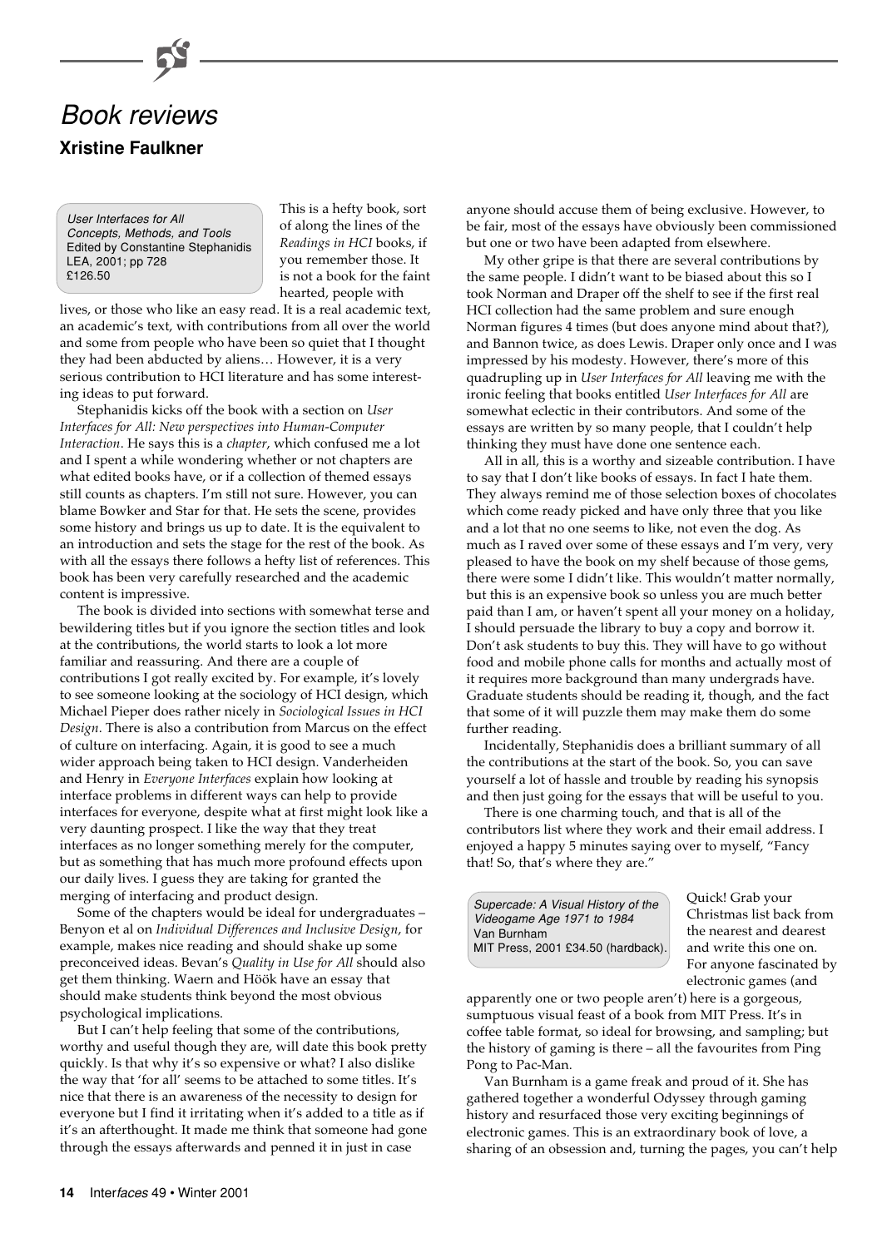

User Interfaces for All Concepts, Methods, and Tools Edited by Constantine Stephanidis LEA, 2001; pp 728 £126.50

This is a hefty book, sort of along the lines of the *Readings in HCI* books, if you remember those. It is not a book for the faint hearted, people with

lives, or those who like an easy read. It is a real academic text, an academic's text, with contributions from all over the world and some from people who have been so quiet that I thought they had been abducted by aliens… However, it is a very serious contribution to HCI literature and has some interesting ideas to put forward.

Stephanidis kicks off the book with a section on *User Interfaces for All: New perspectives into Human-Computer Interaction*. He says this is a *chapter*, which confused me a lot and I spent a while wondering whether or not chapters are what edited books have, or if a collection of themed essays still counts as chapters. I'm still not sure. However, you can blame Bowker and Star for that. He sets the scene, provides some history and brings us up to date. It is the equivalent to an introduction and sets the stage for the rest of the book. As with all the essays there follows a hefty list of references. This book has been very carefully researched and the academic content is impressive.

The book is divided into sections with somewhat terse and bewildering titles but if you ignore the section titles and look at the contributions, the world starts to look a lot more familiar and reassuring. And there are a couple of contributions I got really excited by. For example, it's lovely to see someone looking at the sociology of HCI design, which Michael Pieper does rather nicely in *Sociological Issues in HCI Design*. There is also a contribution from Marcus on the effect of culture on interfacing. Again, it is good to see a much wider approach being taken to HCI design. Vanderheiden and Henry in *Everyone Interfaces* explain how looking at interface problems in different ways can help to provide interfaces for everyone, despite what at first might look like a very daunting prospect. I like the way that they treat interfaces as no longer something merely for the computer, but as something that has much more profound effects upon our daily lives. I guess they are taking for granted the merging of interfacing and product design.

Some of the chapters would be ideal for undergraduates – Benyon et al on *Individual Differences and Inclusive Design*, for example, makes nice reading and should shake up some preconceived ideas. Bevan's *Quality in Use for All* should also get them thinking. Waern and Höök have an essay that should make students think beyond the most obvious psychological implications.

But I can't help feeling that some of the contributions, worthy and useful though they are, will date this book pretty quickly. Is that why it's so expensive or what? I also dislike the way that 'for all' seems to be attached to some titles. It's nice that there is an awareness of the necessity to design for everyone but I find it irritating when it's added to a title as if it's an afterthought. It made me think that someone had gone through the essays afterwards and penned it in just in case

anyone should accuse them of being exclusive. However, to be fair, most of the essays have obviously been commissioned but one or two have been adapted from elsewhere.

My other gripe is that there are several contributions by the same people. I didn't want to be biased about this so I took Norman and Draper off the shelf to see if the first real HCI collection had the same problem and sure enough Norman figures 4 times (but does anyone mind about that?), and Bannon twice, as does Lewis. Draper only once and I was impressed by his modesty. However, there's more of this quadrupling up in *User Interfaces for All* leaving me with the ironic feeling that books entitled *User Interfaces for All* are somewhat eclectic in their contributors. And some of the essays are written by so many people, that I couldn't help thinking they must have done one sentence each.

All in all, this is a worthy and sizeable contribution. I have to say that I don't like books of essays. In fact I hate them. They always remind me of those selection boxes of chocolates which come ready picked and have only three that you like and a lot that no one seems to like, not even the dog. As much as I raved over some of these essays and I'm very, very pleased to have the book on my shelf because of those gems, there were some I didn't like. This wouldn't matter normally, but this is an expensive book so unless you are much better paid than I am, or haven't spent all your money on a holiday, I should persuade the library to buy a copy and borrow it. Don't ask students to buy this. They will have to go without food and mobile phone calls for months and actually most of it requires more background than many undergrads have. Graduate students should be reading it, though, and the fact that some of it will puzzle them may make them do some further reading.

Incidentally, Stephanidis does a brilliant summary of all the contributions at the start of the book. So, you can save yourself a lot of hassle and trouble by reading his synopsis and then just going for the essays that will be useful to you.

There is one charming touch, and that is all of the contributors list where they work and their email address. I enjoyed a happy 5 minutes saying over to myself, "Fancy that! So, that's where they are."

Supercade: A Visual History of the Videogame Age 1971 to 1984 Van Burnham MIT Press, 2001 £34.50 (hardback).

Quick! Grab your Christmas list back from the nearest and dearest and write this one on. For anyone fascinated by electronic games (and

apparently one or two people aren't) here is a gorgeous, sumptuous visual feast of a book from MIT Press. It's in coffee table format, so ideal for browsing, and sampling; but the history of gaming is there – all the favourites from Ping Pong to Pac-Man.

Van Burnham is a game freak and proud of it. She has gathered together a wonderful Odyssey through gaming history and resurfaced those very exciting beginnings of electronic games. This is an extraordinary book of love, a sharing of an obsession and, turning the pages, you can't help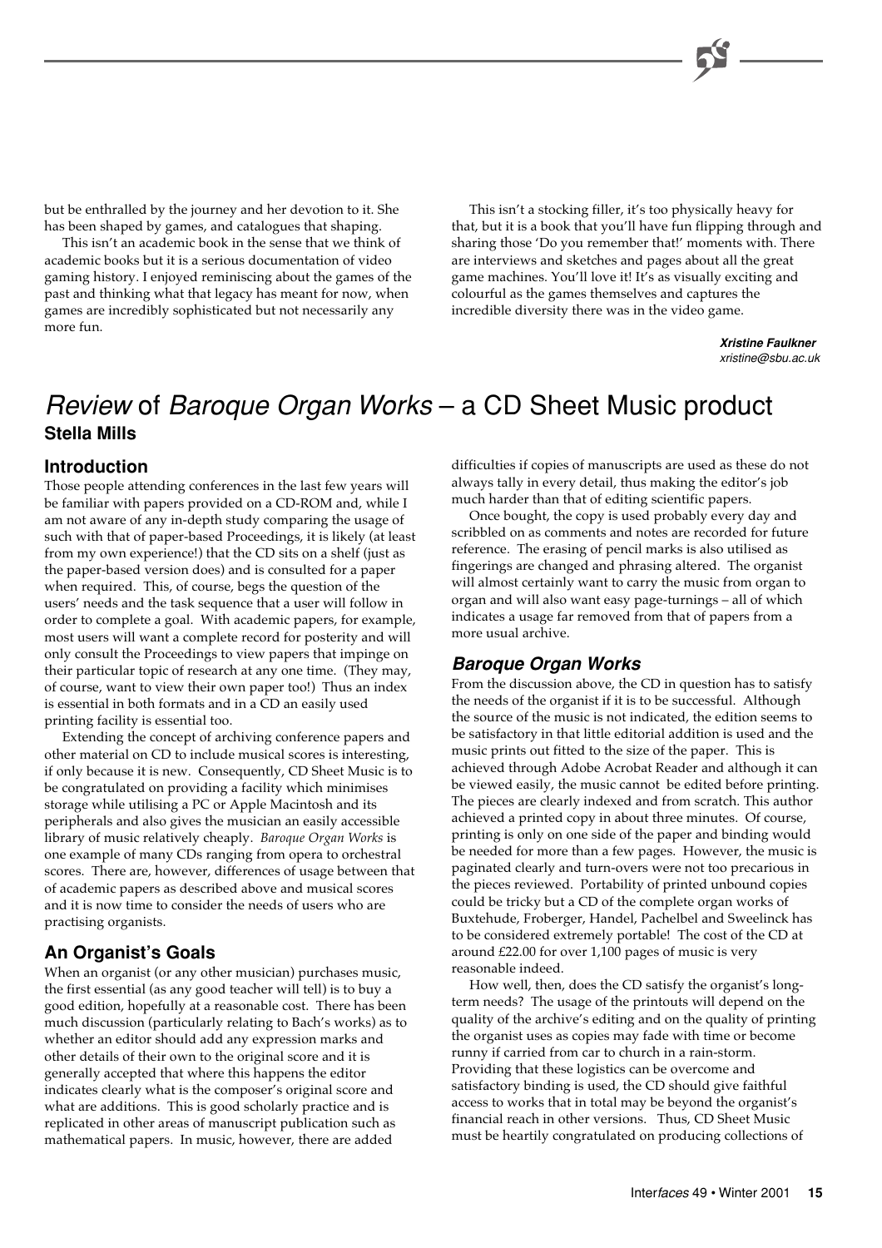but be enthralled by the journey and her devotion to it. She has been shaped by games, and catalogues that shaping.

This isn't an academic book in the sense that we think of academic books but it is a serious documentation of video gaming history. I enjoyed reminiscing about the games of the past and thinking what that legacy has meant for now, when games are incredibly sophisticated but not necessarily any more fun.

This isn't a stocking filler, it's too physically heavy for that, but it is a book that you'll have fun flipping through and sharing those 'Do you remember that!' moments with. There are interviews and sketches and pages about all the great game machines. You'll love it! It's as visually exciting and colourful as the games themselves and captures the incredible diversity there was in the video game.

> **Xristine Faulkner** xristine@sbu.ac.uk

# Review of Baroque Organ Works – a CD Sheet Music product **Stella Mills**

# **Introduction**

Those people attending conferences in the last few years will be familiar with papers provided on a CD-ROM and, while I am not aware of any in-depth study comparing the usage of such with that of paper-based Proceedings, it is likely (at least from my own experience!) that the CD sits on a shelf (just as the paper-based version does) and is consulted for a paper when required. This, of course, begs the question of the users' needs and the task sequence that a user will follow in order to complete a goal. With academic papers, for example, most users will want a complete record for posterity and will only consult the Proceedings to view papers that impinge on their particular topic of research at any one time. (They may, of course, want to view their own paper too!) Thus an index is essential in both formats and in a CD an easily used printing facility is essential too.

Extending the concept of archiving conference papers and other material on CD to include musical scores is interesting, if only because it is new. Consequently, CD Sheet Music is to be congratulated on providing a facility which minimises storage while utilising a PC or Apple Macintosh and its peripherals and also gives the musician an easily accessible library of music relatively cheaply. *Baroque Organ Works* is one example of many CDs ranging from opera to orchestral scores. There are, however, differences of usage between that of academic papers as described above and musical scores and it is now time to consider the needs of users who are practising organists.

# **An Organist's Goals**

When an organist (or any other musician) purchases music, the first essential (as any good teacher will tell) is to buy a good edition, hopefully at a reasonable cost. There has been much discussion (particularly relating to Bach's works) as to whether an editor should add any expression marks and other details of their own to the original score and it is generally accepted that where this happens the editor indicates clearly what is the composer's original score and what are additions. This is good scholarly practice and is replicated in other areas of manuscript publication such as mathematical papers. In music, however, there are added

difficulties if copies of manuscripts are used as these do not always tally in every detail, thus making the editor's job much harder than that of editing scientific papers.

Once bought, the copy is used probably every day and scribbled on as comments and notes are recorded for future reference. The erasing of pencil marks is also utilised as fingerings are changed and phrasing altered. The organist will almost certainly want to carry the music from organ to organ and will also want easy page-turnings – all of which indicates a usage far removed from that of papers from a more usual archive.

# **Baroque Organ Works**

From the discussion above, the CD in question has to satisfy the needs of the organist if it is to be successful. Although the source of the music is not indicated, the edition seems to be satisfactory in that little editorial addition is used and the music prints out fitted to the size of the paper. This is achieved through Adobe Acrobat Reader and although it can be viewed easily, the music cannot be edited before printing. The pieces are clearly indexed and from scratch. This author achieved a printed copy in about three minutes. Of course, printing is only on one side of the paper and binding would be needed for more than a few pages. However, the music is paginated clearly and turn-overs were not too precarious in the pieces reviewed. Portability of printed unbound copies could be tricky but a CD of the complete organ works of Buxtehude, Froberger, Handel, Pachelbel and Sweelinck has to be considered extremely portable! The cost of the CD at around £22.00 for over 1,100 pages of music is very reasonable indeed.

How well, then, does the CD satisfy the organist's longterm needs? The usage of the printouts will depend on the quality of the archive's editing and on the quality of printing the organist uses as copies may fade with time or become runny if carried from car to church in a rain-storm. Providing that these logistics can be overcome and satisfactory binding is used, the CD should give faithful access to works that in total may be beyond the organist's financial reach in other versions. Thus, CD Sheet Music must be heartily congratulated on producing collections of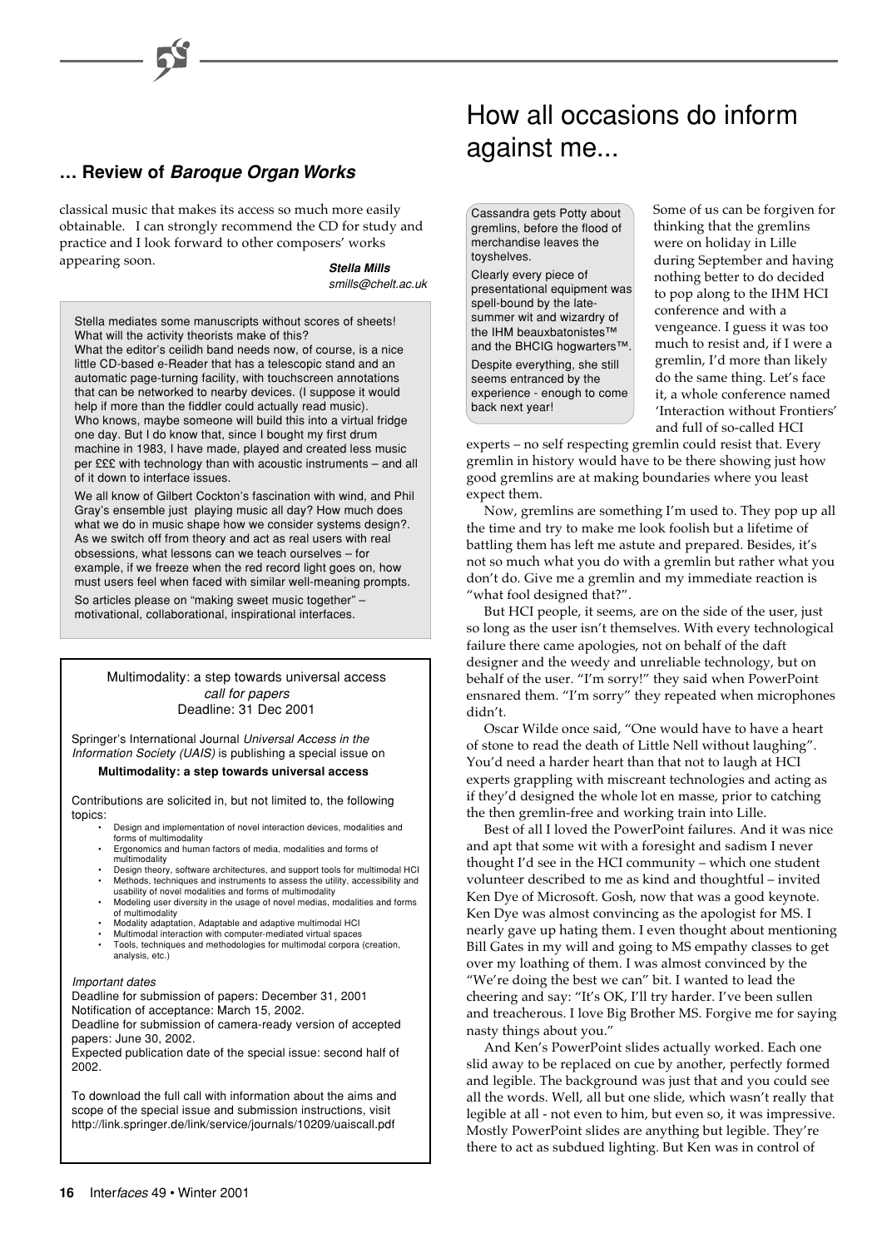# **… Review of Baroque Organ Works**

classical music that makes its access so much more easily obtainable. I can strongly recommend the CD for study and practice and I look forward to other composers' works appearing soon.

**Stella Mills** smills@chelt.ac.uk

Stella mediates some manuscripts without scores of sheets! What will the activity theorists make of this?

What the editor's ceilidh band needs now, of course, is a nice little CD-based e-Reader that has a telescopic stand and an automatic page-turning facility, with touchscreen annotations that can be networked to nearby devices. (I suppose it would help if more than the fiddler could actually read music). Who knows, maybe someone will build this into a virtual fridge one day. But I do know that, since I bought my first drum machine in 1983, I have made, played and created less music per £££ with technology than with acoustic instruments – and all of it down to interface issues.

We all know of Gilbert Cockton's fascination with wind, and Phil Gray's ensemble just playing music all day? How much does what we do in music shape how we consider systems design?. As we switch off from theory and act as real users with real obsessions, what lessons can we teach ourselves – for example, if we freeze when the red record light goes on, how must users feel when faced with similar well-meaning prompts.

So articles please on "making sweet music together" – motivational, collaborational, inspirational interfaces.

> Multimodality: a step towards universal access call for papers Deadline: 31 Dec 2001

Springer's International Journal Universal Access in the Information Society (UAIS) is publishing a special issue on

### **Multimodality: a step towards universal access**

Contributions are solicited in, but not limited to, the following topics:

- Design and implementation of novel interaction devices, modalities and forms of multimodality
	- Ergonomics and human factors of media, modalities and forms of multimodality
	- Design theory, software architectures, and support tools for multimodal HCI • Methods, techniques and instruments to assess the utility, accessibility and usability of novel modalities and forms of multimodality
	- Modeling user diversity in the usage of novel medias, modalities and forms of multimodality
	- Modality adaptation, Adaptable and adaptive multimodal HCI
	- Multimodal interaction with computer-mediated virtual spaces Tools, techniques and methodologies for multimodal corpora (creation,
- analysis, etc.)

### Important dates

Deadline for submission of papers: December 31, 2001 Notification of acceptance: March 15, 2002. Deadline for submission of camera-ready version of accepted

papers: June 30, 2002. Expected publication date of the special issue: second half of 2002.

To download the full call with information about the aims and scope of the special issue and submission instructions, visit http://link.springer.de/link/service/journals/10209/uaiscall.pdf

# How all occasions do inform against me...

Cassandra gets Potty about gremlins, before the flood of merchandise leaves the toyshelves.

Clearly every piece of presentational equipment was spell-bound by the latesummer wit and wizardry of the IHM beauxbatonistes™ and the BHCIG hogwarters™.

Despite everything, she still seems entranced by the experience - enough to come back next year!

Some of us can be forgiven for thinking that the gremlins were on holiday in Lille during September and having nothing better to do decided to pop along to the IHM HCI conference and with a vengeance. I guess it was too much to resist and, if I were a gremlin, I'd more than likely do the same thing. Let's face it, a whole conference named 'Interaction without Frontiers' and full of so-called HCI

experts – no self respecting gremlin could resist that. Every gremlin in history would have to be there showing just how good gremlins are at making boundaries where you least expect them.

Now, gremlins are something I'm used to. They pop up all the time and try to make me look foolish but a lifetime of battling them has left me astute and prepared. Besides, it's not so much what you do with a gremlin but rather what you don't do. Give me a gremlin and my immediate reaction is "what fool designed that?".

But HCI people, it seems, are on the side of the user, just so long as the user isn't themselves. With every technological failure there came apologies, not on behalf of the daft designer and the weedy and unreliable technology, but on behalf of the user. "I'm sorry!" they said when PowerPoint ensnared them. "I'm sorry" they repeated when microphones didn't.

Oscar Wilde once said, "One would have to have a heart of stone to read the death of Little Nell without laughing". You'd need a harder heart than that not to laugh at HCI experts grappling with miscreant technologies and acting as if they'd designed the whole lot en masse, prior to catching the then gremlin-free and working train into Lille.

Best of all I loved the PowerPoint failures. And it was nice and apt that some wit with a foresight and sadism I never thought I'd see in the HCI community – which one student volunteer described to me as kind and thoughtful – invited Ken Dye of Microsoft. Gosh, now that was a good keynote. Ken Dye was almost convincing as the apologist for MS. I nearly gave up hating them. I even thought about mentioning Bill Gates in my will and going to MS empathy classes to get over my loathing of them. I was almost convinced by the "We're doing the best we can" bit. I wanted to lead the cheering and say: "It's OK, I'll try harder. I've been sullen and treacherous. I love Big Brother MS. Forgive me for saying nasty things about you."

And Ken's PowerPoint slides actually worked. Each one slid away to be replaced on cue by another, perfectly formed and legible. The background was just that and you could see all the words. Well, all but one slide, which wasn't really that legible at all - not even to him, but even so, it was impressive. Mostly PowerPoint slides are anything but legible. They're there to act as subdued lighting. But Ken was in control of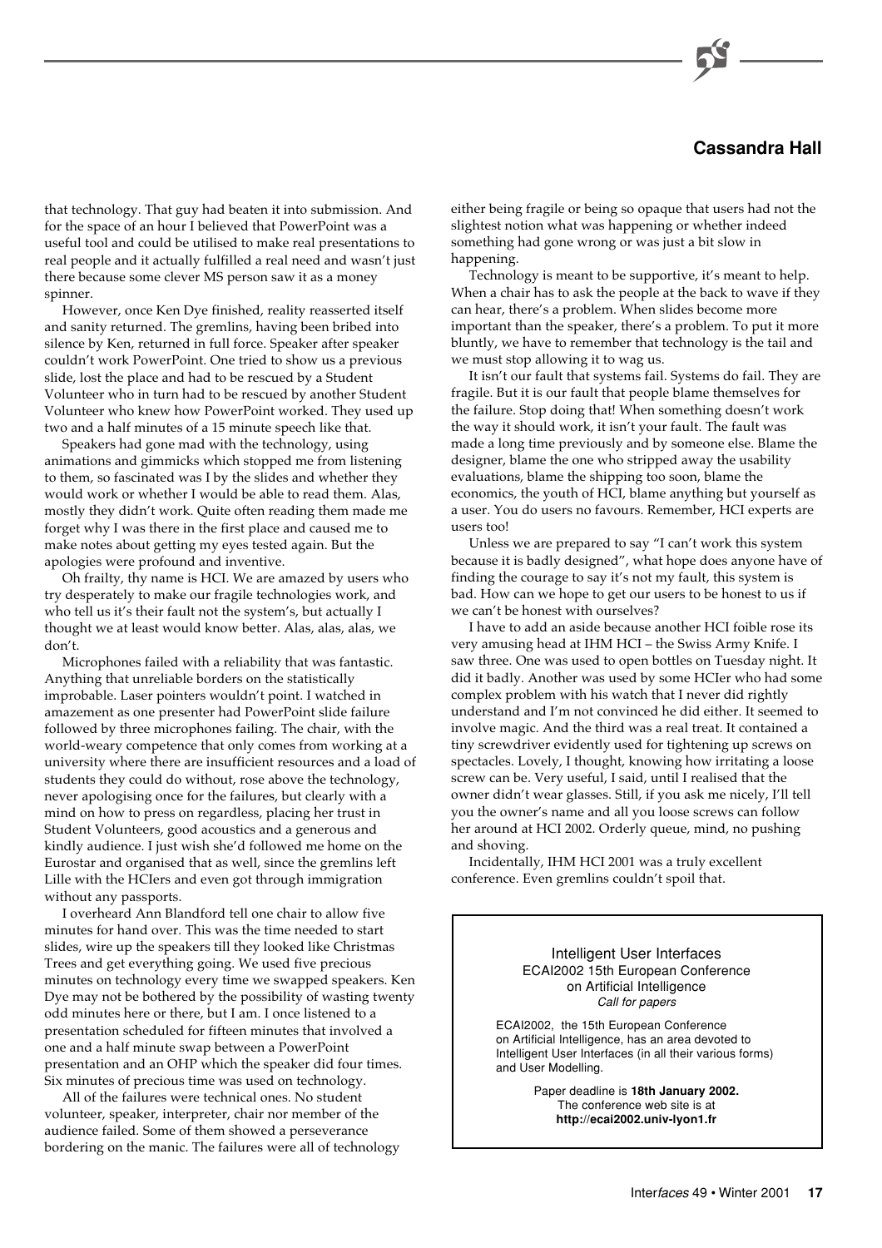# **Cassandra Hall**

that technology. That guy had beaten it into submission. And for the space of an hour I believed that PowerPoint was a useful tool and could be utilised to make real presentations to real people and it actually fulfilled a real need and wasn't just there because some clever MS person saw it as a money spinner.

However, once Ken Dye finished, reality reasserted itself and sanity returned. The gremlins, having been bribed into silence by Ken, returned in full force. Speaker after speaker couldn't work PowerPoint. One tried to show us a previous slide, lost the place and had to be rescued by a Student Volunteer who in turn had to be rescued by another Student Volunteer who knew how PowerPoint worked. They used up two and a half minutes of a 15 minute speech like that.

Speakers had gone mad with the technology, using animations and gimmicks which stopped me from listening to them, so fascinated was I by the slides and whether they would work or whether I would be able to read them. Alas, mostly they didn't work. Quite often reading them made me forget why I was there in the first place and caused me to make notes about getting my eyes tested again. But the apologies were profound and inventive.

Oh frailty, thy name is HCI. We are amazed by users who try desperately to make our fragile technologies work, and who tell us it's their fault not the system's, but actually I thought we at least would know better. Alas, alas, alas, we don't.

Microphones failed with a reliability that was fantastic. Anything that unreliable borders on the statistically improbable. Laser pointers wouldn't point. I watched in amazement as one presenter had PowerPoint slide failure followed by three microphones failing. The chair, with the world-weary competence that only comes from working at a university where there are insufficient resources and a load of students they could do without, rose above the technology, never apologising once for the failures, but clearly with a mind on how to press on regardless, placing her trust in Student Volunteers, good acoustics and a generous and kindly audience. I just wish she'd followed me home on the Eurostar and organised that as well, since the gremlins left Lille with the HCIers and even got through immigration without any passports.

I overheard Ann Blandford tell one chair to allow five minutes for hand over. This was the time needed to start slides, wire up the speakers till they looked like Christmas Trees and get everything going. We used five precious minutes on technology every time we swapped speakers. Ken Dye may not be bothered by the possibility of wasting twenty odd minutes here or there, but I am. I once listened to a presentation scheduled for fifteen minutes that involved a one and a half minute swap between a PowerPoint presentation and an OHP which the speaker did four times. Six minutes of precious time was used on technology.

All of the failures were technical ones. No student volunteer, speaker, interpreter, chair nor member of the audience failed. Some of them showed a perseverance bordering on the manic. The failures were all of technology either being fragile or being so opaque that users had not the slightest notion what was happening or whether indeed something had gone wrong or was just a bit slow in happening.

Technology is meant to be supportive, it's meant to help. When a chair has to ask the people at the back to wave if they can hear, there's a problem. When slides become more important than the speaker, there's a problem. To put it more bluntly, we have to remember that technology is the tail and we must stop allowing it to wag us.

It isn't our fault that systems fail. Systems do fail. They are fragile. But it is our fault that people blame themselves for the failure. Stop doing that! When something doesn't work the way it should work, it isn't your fault. The fault was made a long time previously and by someone else. Blame the designer, blame the one who stripped away the usability evaluations, blame the shipping too soon, blame the economics, the youth of HCI, blame anything but yourself as a user. You do users no favours. Remember, HCI experts are users too!

Unless we are prepared to say "I can't work this system because it is badly designed", what hope does anyone have of finding the courage to say it's not my fault, this system is bad. How can we hope to get our users to be honest to us if we can't be honest with ourselves?

I have to add an aside because another HCI foible rose its very amusing head at IHM HCI – the Swiss Army Knife. I saw three. One was used to open bottles on Tuesday night. It did it badly. Another was used by some HCIer who had some complex problem with his watch that I never did rightly understand and I'm not convinced he did either. It seemed to involve magic. And the third was a real treat. It contained a tiny screwdriver evidently used for tightening up screws on spectacles. Lovely, I thought, knowing how irritating a loose screw can be. Very useful, I said, until I realised that the owner didn't wear glasses. Still, if you ask me nicely, I'll tell you the owner's name and all you loose screws can follow her around at HCI 2002. Orderly queue, mind, no pushing and shoving.

Incidentally, IHM HCI 2001 was a truly excellent conference. Even gremlins couldn't spoil that.

> Intelligent User Interfaces ECAI2002 15th European Conference on Artificial Intelligence Call for papers

ECAI2002, the 15th European Conference on Artificial Intelligence, has an area devoted to Intelligent User Interfaces (in all their various forms) and User Modelling.

> Paper deadline is **18th January 2002.** The conference web site is at **http://ecai2002.univ-lyon1.fr**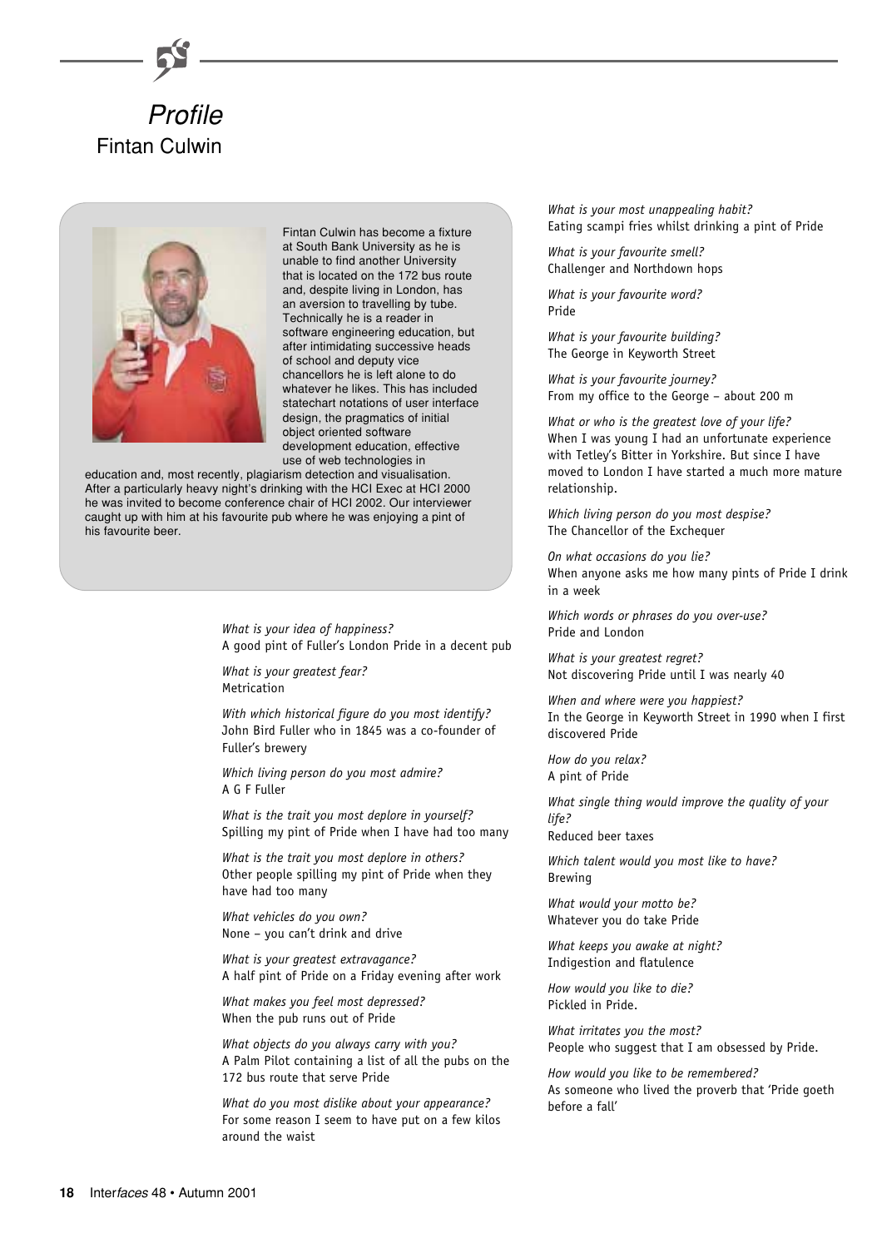



Fintan Culwin has become a fixture at South Bank University as he is unable to find another University that is located on the 172 bus route and, despite living in London, has an aversion to travelling by tube. Technically he is a reader in software engineering education, but after intimidating successive heads of school and deputy vice chancellors he is left alone to do whatever he likes. This has included statechart notations of user interface design, the pragmatics of initial object oriented software development education, effective use of web technologies in

education and, most recently, plagiarism detection and visualisation. After a particularly heavy night's drinking with the HCI Exec at HCI 2000 he was invited to become conference chair of HCI 2002. Our interviewer caught up with him at his favourite pub where he was enjoying a pint of his favourite beer.

> *What is your idea of happiness?* A good pint of Fuller's London Pride in a decent pub

*What is your greatest fear?* Metrication

*With which historical figure do you most identify?* John Bird Fuller who in 1845 was a co-founder of Fuller's brewery

*Which living person do you most admire?* A G F Fuller

*What is the trait you most deplore in yourself?* Spilling my pint of Pride when I have had too many

*What is the trait you most deplore in others?* Other people spilling my pint of Pride when they have had too many

*What vehicles do you own?* None – you can't drink and drive

*What is your greatest extravagance?* A half pint of Pride on a Friday evening after work

*What makes you feel most depressed?* When the pub runs out of Pride

*What objects do you always carry with you?* A Palm Pilot containing a list of all the pubs on the 172 bus route that serve Pride

*What do you most dislike about your appearance?* For some reason I seem to have put on a few kilos around the waist

*What is your most unappealing habit?* Eating scampi fries whilst drinking a pint of Pride

*What is your favourite smell?* Challenger and Northdown hops

*What is your favourite word?* Pride

*What is your favourite building?* The George in Keyworth Street

*What is your favourite journey?* From my office to the George – about 200 m

*What or who is the greatest love of your life?* When I was young I had an unfortunate experience with Tetley's Bitter in Yorkshire. But since I have moved to London I have started a much more mature relationship.

*Which living person do you most despise?* The Chancellor of the Exchequer

*On what occasions do you lie?* When anyone asks me how many pints of Pride I drink in a week

*Which words or phrases do you over-use?* Pride and London

*What is your greatest regret?* Not discovering Pride until I was nearly 40

*When and where were you happiest?* In the George in Keyworth Street in 1990 when I first discovered Pride

*How do you relax?* A pint of Pride

*What single thing would improve the quality of your life?*

Reduced beer taxes

*Which talent would you most like to have?* Brewing

*What would your motto be?* Whatever you do take Pride

*What keeps you awake at night?* Indigestion and flatulence

*How would you like to die?* Pickled in Pride.

*What irritates you the most?* People who suggest that I am obsessed by Pride.

*How would you like to be remembered?* As someone who lived the proverb that 'Pride goeth before a fall'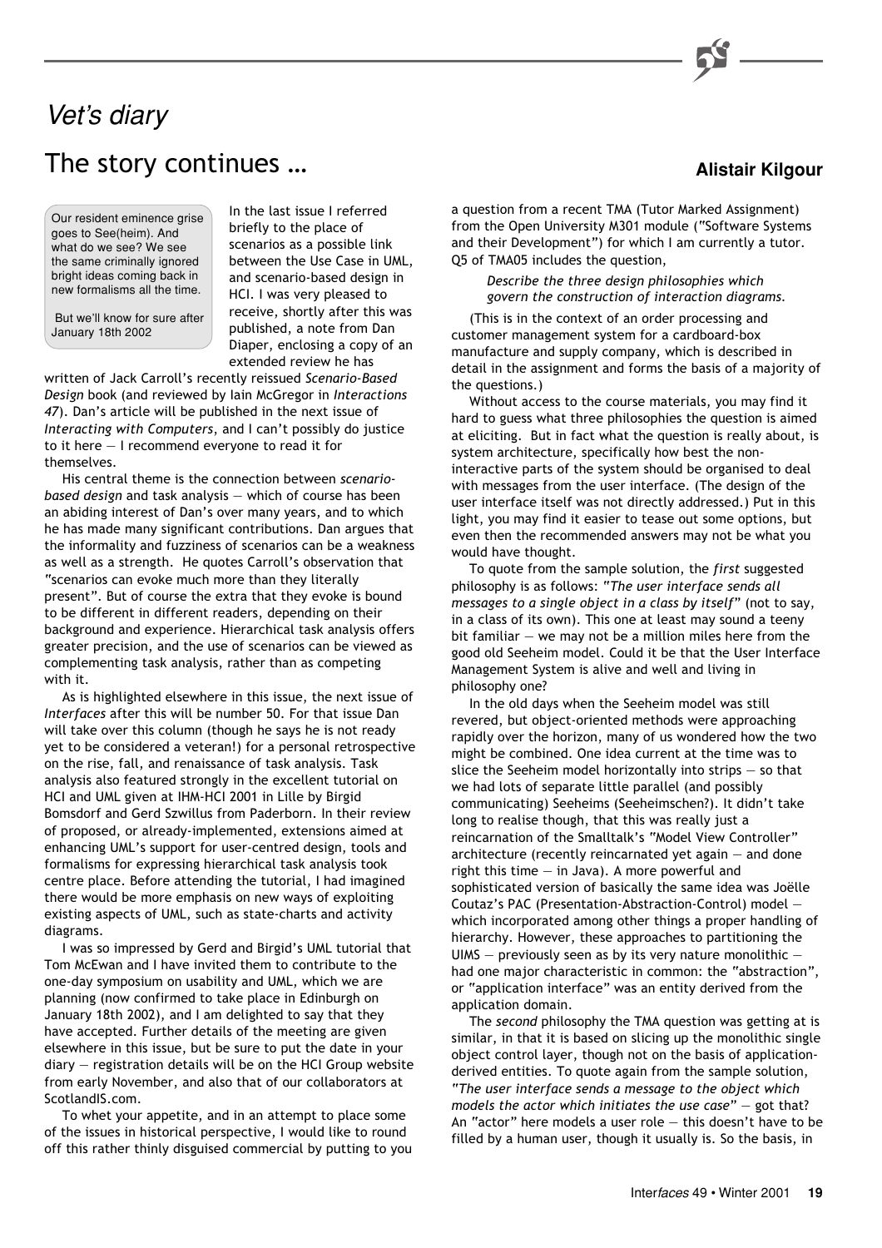# The story continues … Vet's diary

Our resident eminence grise goes to See(heim). And what do we see? We see the same criminally ignored bright ideas coming back in new formalisms all the time.

 But we'll know for sure after January 18th 2002

In the last issue I referred briefly to the place of scenarios as a possible link between the Use Case in UML, and scenario-based design in HCI. I was very pleased to receive, shortly after this was published, a note from Dan Diaper, enclosing a copy of an extended review he has

written of Jack Carroll's recently reissued *Scenario-Based Design* book (and reviewed by Iain McGregor in *Interactions 47*). Dan's article will be published in the next issue of *Interacting with Computers*, and I can't possibly do justice to it here — I recommend everyone to read it for themselves.

His central theme is the connection between *scenariobased design* and task analysis — which of course has been an abiding interest of Dan's over many years, and to which he has made many significant contributions. Dan argues that the informality and fuzziness of scenarios can be a weakness as well as a strength. He quotes Carroll's observation that "scenarios can evoke much more than they literally present". But of course the extra that they evoke is bound to be different in different readers, depending on their background and experience. Hierarchical task analysis offers greater precision, and the use of scenarios can be viewed as complementing task analysis, rather than as competing with it.

As is highlighted elsewhere in this issue, the next issue of *Interfaces* after this will be number 50. For that issue Dan will take over this column (though he says he is not ready yet to be considered a veteran!) for a personal retrospective on the rise, fall, and renaissance of task analysis. Task analysis also featured strongly in the excellent tutorial on HCI and UML given at IHM-HCI 2001 in Lille by Birgid Bomsdorf and Gerd Szwillus from Paderborn. In their review of proposed, or already-implemented, extensions aimed at enhancing UML's support for user-centred design, tools and formalisms for expressing hierarchical task analysis took centre place. Before attending the tutorial, I had imagined there would be more emphasis on new ways of exploiting existing aspects of UML, such as state-charts and activity diagrams.

I was so impressed by Gerd and Birgid's UML tutorial that Tom McEwan and I have invited them to contribute to the one-day symposium on usability and UML, which we are planning (now confirmed to take place in Edinburgh on January 18th 2002), and I am delighted to say that they have accepted. Further details of the meeting are given elsewhere in this issue, but be sure to put the date in your diary — registration details will be on the HCI Group website from early November, and also that of our collaborators at ScotlandIS.com.

To whet your appetite, and in an attempt to place some of the issues in historical perspective, I would like to round off this rather thinly disguised commercial by putting to you a question from a recent TMA (Tutor Marked Assignment) from the Open University M301 module ("Software Systems and their Development") for which I am currently a tutor. Q5 of TMA05 includes the question,

> *Describe the three design philosophies which govern the construction of interaction diagrams.*

(This is in the context of an order processing and customer management system for a cardboard-box manufacture and supply company, which is described in detail in the assignment and forms the basis of a majority of the questions.)

Without access to the course materials, you may find it hard to guess what three philosophies the question is aimed at eliciting. But in fact what the question is really about, is system architecture, specifically how best the noninteractive parts of the system should be organised to deal with messages from the user interface. (The design of the user interface itself was not directly addressed.) Put in this light, you may find it easier to tease out some options, but even then the recommended answers may not be what you would have thought.

To quote from the sample solution, the *first* suggested philosophy is as follows: "*The user interface sends all messages to a single object in a class by itself*" (not to say, in a class of its own). This one at least may sound a teeny bit familiar  $-$  we may not be a million miles here from the good old Seeheim model. Could it be that the User Interface Management System is alive and well and living in philosophy one?

In the old days when the Seeheim model was still revered, but object-oriented methods were approaching rapidly over the horizon, many of us wondered how the two might be combined. One idea current at the time was to slice the Seeheim model horizontally into strips — so that we had lots of separate little parallel (and possibly communicating) Seeheims (Seeheimschen?). It didn't take long to realise though, that this was really just a reincarnation of the Smalltalk's "Model View Controller" architecture (recently reincarnated yet again — and done right this time — in Java). A more powerful and sophisticated version of basically the same idea was Joëlle Coutaz's PAC (Presentation-Abstraction-Control) model which incorporated among other things a proper handling of hierarchy. However, these approaches to partitioning the UIMS – previously seen as by its very nature monolithic had one major characteristic in common: the "abstraction", or "application interface" was an entity derived from the application domain.

The *second* philosophy the TMA question was getting at is similar, in that it is based on slicing up the monolithic single object control layer, though not on the basis of applicationderived entities. To quote again from the sample solution, "*The user interface sends a message to the object which models the actor which initiates the use case*" — got that? An "actor" here models a user role — this doesn't have to be filled by a human user, though it usually is. So the basis, in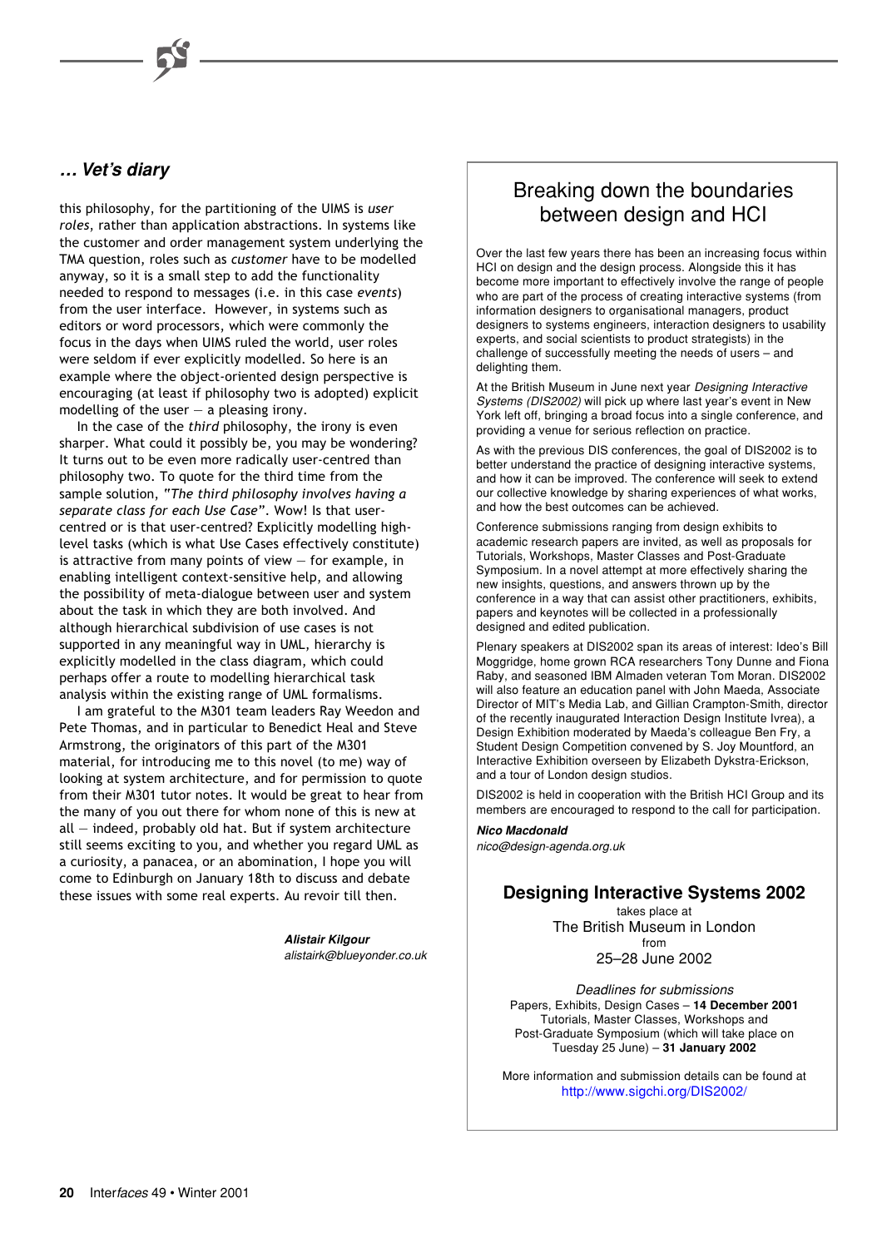# **… Vet's diary**

this philosophy, for the partitioning of the UIMS is *user roles*, rather than application abstractions. In systems like the customer and order management system underlying the TMA question, roles such as *customer* have to be modelled anyway, so it is a small step to add the functionality needed to respond to messages (i.e. in this case *events*) from the user interface. However, in systems such as editors or word processors, which were commonly the focus in the days when UIMS ruled the world, user roles were seldom if ever explicitly modelled. So here is an example where the object-oriented design perspective is encouraging (at least if philosophy two is adopted) explicit modelling of the user  $-$  a pleasing irony.

In the case of the *third* philosophy, the irony is even sharper. What could it possibly be, you may be wondering? It turns out to be even more radically user-centred than philosophy two. To quote for the third time from the sample solution, "*The third philosophy involves having a separate class for each Use Case*". Wow! Is that usercentred or is that user-centred? Explicitly modelling highlevel tasks (which is what Use Cases effectively constitute) is attractive from many points of view  $-$  for example, in enabling intelligent context-sensitive help, and allowing the possibility of meta-dialogue between user and system about the task in which they are both involved. And although hierarchical subdivision of use cases is not supported in any meaningful way in UML, hierarchy is explicitly modelled in the class diagram, which could perhaps offer a route to modelling hierarchical task analysis within the existing range of UML formalisms.

I am grateful to the M301 team leaders Ray Weedon and Pete Thomas, and in particular to Benedict Heal and Steve Armstrong, the originators of this part of the M301 material, for introducing me to this novel (to me) way of looking at system architecture, and for permission to quote from their M301 tutor notes. It would be great to hear from the many of you out there for whom none of this is new at all — indeed, probably old hat. But if system architecture still seems exciting to you, and whether you regard UML as a curiosity, a panacea, or an abomination, I hope you will come to Edinburgh on January 18th to discuss and debate these issues with some real experts. Au revoir till then.

> **Alistair Kilgour** alistairk@blueyonder.co.uk

# Breaking down the boundaries between design and HCI

Over the last few years there has been an increasing focus within HCI on design and the design process. Alongside this it has become more important to effectively involve the range of people who are part of the process of creating interactive systems (from information designers to organisational managers, product designers to systems engineers, interaction designers to usability experts, and social scientists to product strategists) in the challenge of successfully meeting the needs of users – and delighting them.

At the British Museum in June next year Designing Interactive Systems (DIS2002) will pick up where last year's event in New York left off, bringing a broad focus into a single conference, and providing a venue for serious reflection on practice.

As with the previous DIS conferences, the goal of DIS2002 is to better understand the practice of designing interactive systems, and how it can be improved. The conference will seek to extend our collective knowledge by sharing experiences of what works, and how the best outcomes can be achieved.

Conference submissions ranging from design exhibits to academic research papers are invited, as well as proposals for Tutorials, Workshops, Master Classes and Post-Graduate Symposium. In a novel attempt at more effectively sharing the new insights, questions, and answers thrown up by the conference in a way that can assist other practitioners, exhibits, papers and keynotes will be collected in a professionally designed and edited publication.

Plenary speakers at DIS2002 span its areas of interest: Ideo's Bill Moggridge, home grown RCA researchers Tony Dunne and Fiona Raby, and seasoned IBM Almaden veteran Tom Moran. DIS2002 will also feature an education panel with John Maeda, Associate Director of MIT's Media Lab, and Gillian Crampton-Smith, director of the recently inaugurated Interaction Design Institute Ivrea), a Design Exhibition moderated by Maeda's colleague Ben Fry, a Student Design Competition convened by S. Joy Mountford, an Interactive Exhibition overseen by Elizabeth Dykstra-Erickson, and a tour of London design studios.

DIS2002 is held in cooperation with the British HCI Group and its members are encouraged to respond to the call for participation.

**Nico Macdonald** nico@design-agenda.org.uk

# **Designing Interactive Systems 2002**

takes place at The British Museum in London from 25–28 June 2002

Deadlines for submissions Papers, Exhibits, Design Cases – **14 December 2001** Tutorials, Master Classes, Workshops and Post-Graduate Symposium (which will take place on Tuesday 25 June) – **31 January 2002**

More information and submission details can be found at <http://www.sigchi.org/DIS2002/>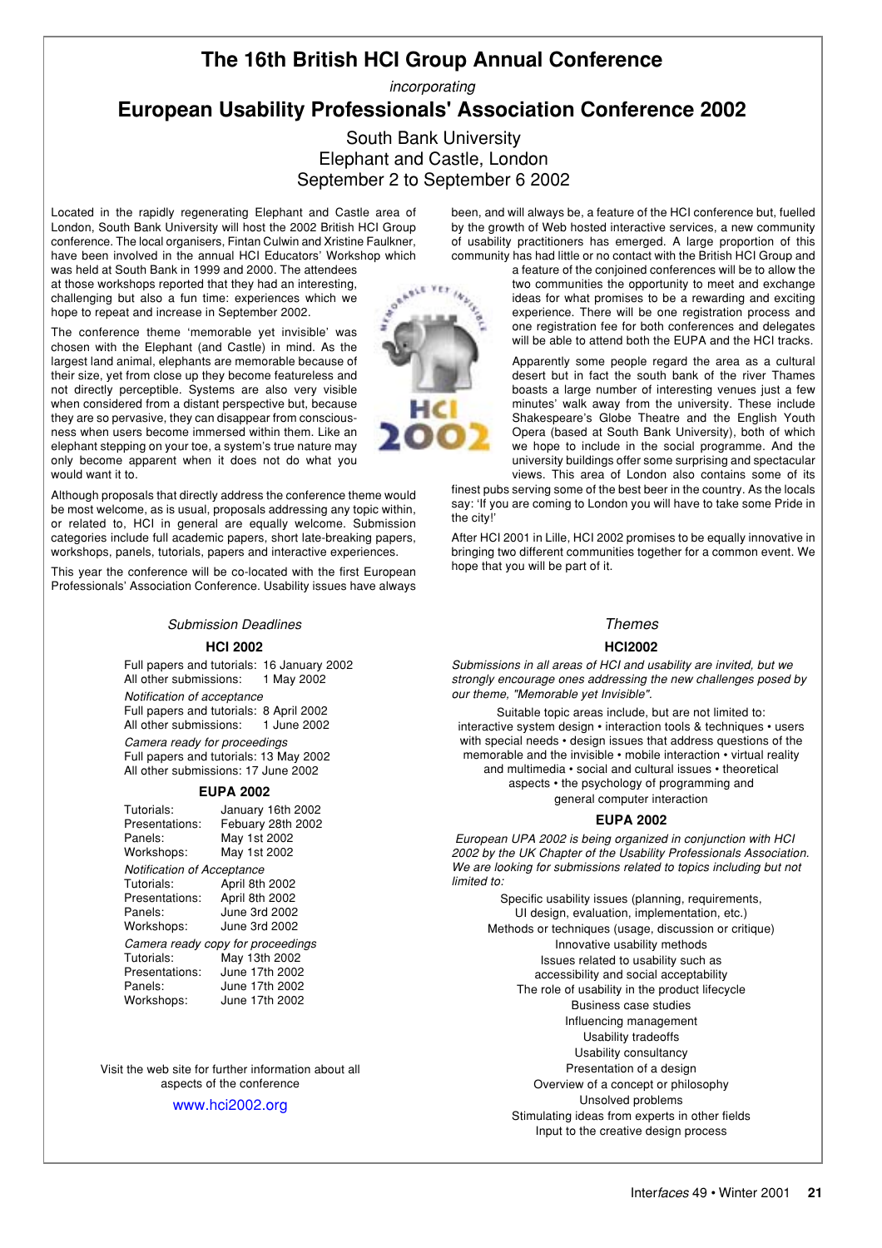# **The 16th British HCI Group Annual Conference**

incorporating

# **European Usability Professionals' Association Conference 2002**

South Bank University Elephant and Castle, London September 2 to September 6 2002

Located in the rapidly regenerating Elephant and Castle area of London, South Bank University will host the 2002 British HCI Group conference. The local organisers, Fintan Culwin and Xristine Faulkner, have been involved in the annual HCI Educators' Workshop which

was held at South Bank in 1999 and 2000. The attendees at those workshops reported that they had an interesting, challenging but also a fun time: experiences which we hope to repeat and increase in September 2002.

The conference theme 'memorable yet invisible' was chosen with the Elephant (and Castle) in mind. As the largest land animal, elephants are memorable because of their size, yet from close up they become featureless and not directly perceptible. Systems are also very visible when considered from a distant perspective but, because they are so pervasive, they can disappear from consciousness when users become immersed within them. Like an elephant stepping on your toe, a system's true nature may only become apparent when it does not do what you would want it to.

Although proposals that directly address the conference theme would be most welcome, as is usual, proposals addressing any topic within, or related to, HCI in general are equally welcome. Submission categories include full academic papers, short late-breaking papers, workshops, panels, tutorials, papers and interactive experiences.

This year the conference will be co-located with the first European Professionals' Association Conference. Usability issues have always

### Submission Deadlines

#### **HCI 2002**

Full papers and tutorials: 16 January 2002 All other submissions: 1 May 2002

Notification of acceptance Full papers and tutorials: 8 April 2002 All other submissions: Camera ready for proceedings Full papers and tutorials: 13 May 2002 All other submissions: 17 June 2002

**EUPA 2002**

| Tutorials:                 | January 16th 2002 |
|----------------------------|-------------------|
| Presentations:             | Febuary 28th 2002 |
| Panels:                    | May 1st 2002      |
| Workshops:                 | May 1st 2002      |
| Notification of Acceptance |                   |

| Tutorials:     | April 8th 2002                    |
|----------------|-----------------------------------|
| Presentations: | April 8th 2002                    |
| Panels:        | June 3rd 2002                     |
| Workshops:     | June 3rd 2002                     |
|                | Camera ready copy for proceedings |
| Tutorials:     | May 13th 2002                     |
| Presentations: | June 17th 2002                    |
| Panels:        | June 17th 2002                    |
| Workshops:     | June 17th 2002                    |

Visit the web site for further information about all aspects of the conference

#### [www.hci2002.org](http://www.hci2002.org)

been, and will always be, a feature of the HCI conference but, fuelled by the growth of Web hosted interactive services, a new community of usability practitioners has emerged. A large proportion of this community has had little or no contact with the British HCI Group and

a feature of the conjoined conferences will be to allow the two communities the opportunity to meet and exchange ideas for what promises to be a rewarding and exciting experience. There will be one registration process and one registration fee for both conferences and delegates will be able to attend both the EUPA and the HCI tracks.

Apparently some people regard the area as a cultural desert but in fact the south bank of the river Thames boasts a large number of interesting venues just a few minutes' walk away from the university. These include Shakespeare's Globe Theatre and the English Youth Opera (based at South Bank University), both of which we hope to include in the social programme. And the university buildings offer some surprising and spectacular views. This area of London also contains some of its

finest pubs serving some of the best beer in the country. As the locals say: 'If you are coming to London you will have to take some Pride in the city!'

After HCI 2001 in Lille, HCI 2002 promises to be equally innovative in bringing two different communities together for a common event. We hope that you will be part of it.

### Themes

#### **HCI2002**

Submissions in all areas of HCI and usability are invited, but we strongly encourage ones addressing the new challenges posed by our theme, "Memorable yet Invisible".

Suitable topic areas include, but are not limited to: interactive system design • interaction tools & techniques • users with special needs • design issues that address questions of the memorable and the invisible • mobile interaction • virtual reality and multimedia • social and cultural issues • theoretical aspects • the psychology of programming and general computer interaction

### **EUPA 2002**

 European UPA 2002 is being organized in conjunction with HCI 2002 by the UK Chapter of the Usability Professionals Association. We are looking for submissions related to topics including but not limited to:

Specific usability issues (planning, requirements, UI design, evaluation, implementation, etc.) Methods or techniques (usage, discussion or critique) Innovative usability methods Issues related to usability such as accessibility and social acceptability The role of usability in the product lifecycle Business case studies Influencing management Usability tradeoffs Usability consultancy Presentation of a design Overview of a concept or philosophy Unsolved problems Stimulating ideas from experts in other fields Input to the creative design process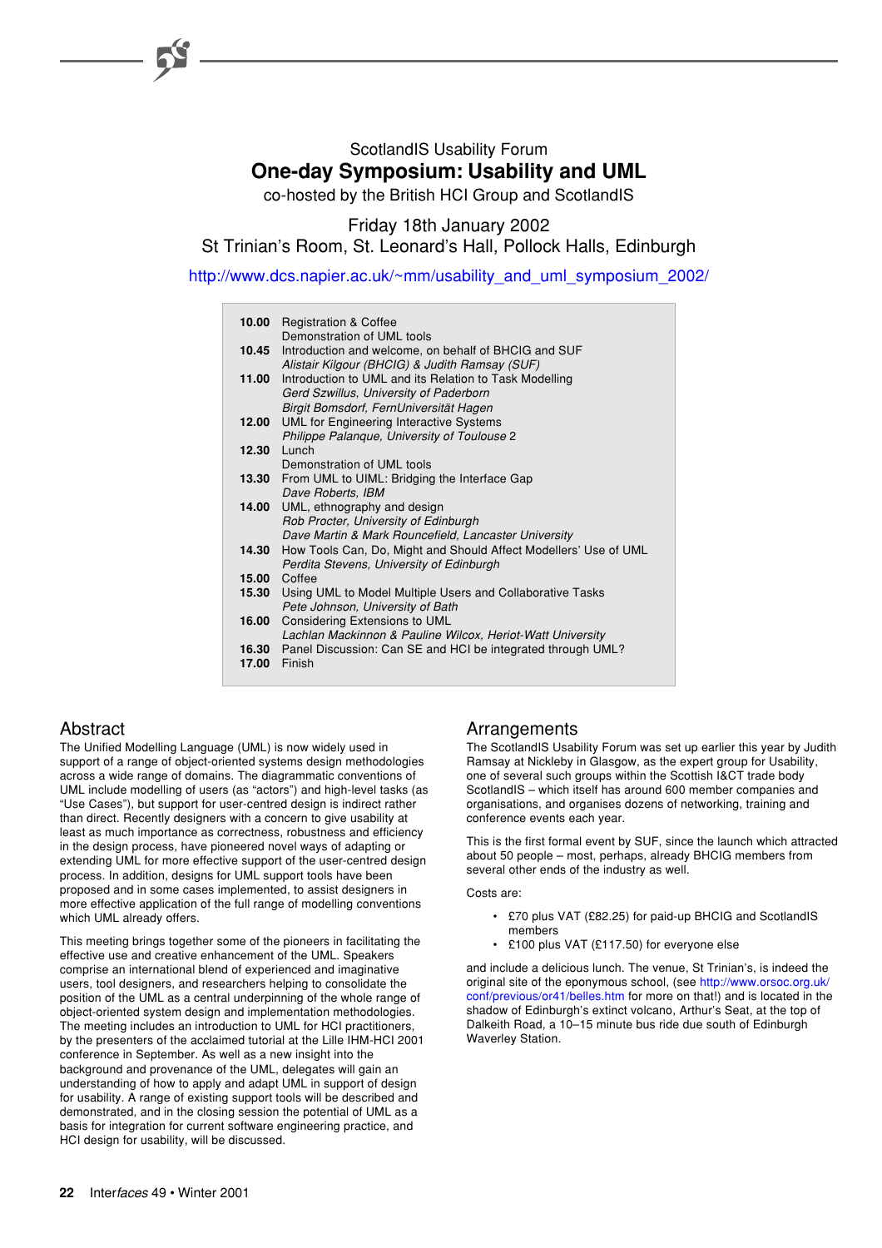# ScotlandIS Usability Forum **One-day Symposium: Usability and UML**

co-hosted by the British HCI Group and ScotlandIS

Friday 18th January 2002 St Trinian's Room, St. Leonard's Hall, Pollock Halls, Edinburgh

[http://www.dcs.napier.ac.uk/~mm/usability\\_and\\_uml\\_symposium\\_2002/](http://www.dcs.napier.ac.uk/~mm/usability_and_uml_symposium_2002/)

| 10.00<br><b>Registration &amp; Coffee</b><br>Demonstration of UML tools                                                                             |
|-----------------------------------------------------------------------------------------------------------------------------------------------------|
| Introduction and welcome, on behalf of BHCIG and SUF<br>10.45<br>Alistair Kilgour (BHCIG) & Judith Ramsay (SUF)                                     |
| Introduction to UML and its Relation to Task Modelling<br>11.00<br>Gerd Szwillus, University of Paderborn<br>Birgit Bomsdorf, FernUniversität Hagen |
| <b>UML for Engineering Interactive Systems</b><br>12.00<br>Philippe Palangue, University of Toulouse 2                                              |
| Lunch<br>12.30                                                                                                                                      |
| Demonstration of UML tools<br>From UML to UIML: Bridging the Interface Gap<br>13.30                                                                 |
| Dave Roberts, IBM                                                                                                                                   |
| UML, ethnography and design<br>14.00<br>Rob Procter, University of Edinburgh                                                                        |
| Dave Martin & Mark Rouncefield, Lancaster University                                                                                                |
| How Tools Can, Do, Might and Should Affect Modellers' Use of UML<br>14.30<br>Perdita Stevens, University of Edinburgh                               |
| <b>15.00 Coffee</b>                                                                                                                                 |
| Using UML to Model Multiple Users and Collaborative Tasks<br>15.30<br>Pete Johnson, University of Bath                                              |
| Considering Extensions to UML<br>16.00<br>Lachlan Mackinnon & Pauline Wilcox, Heriot-Watt University                                                |
| 16.30 Panel Discussion: Can SE and HCI be integrated through UML?<br><b>17.00 Finish</b>                                                            |
|                                                                                                                                                     |

# **Abstract**

The Unified Modelling Language (UML) is now widely used in support of a range of object-oriented systems design methodologies across a wide range of domains. The diagrammatic conventions of UML include modelling of users (as "actors") and high-level tasks (as "Use Cases"), but support for user-centred design is indirect rather than direct. Recently designers with a concern to give usability at least as much importance as correctness, robustness and efficiency in the design process, have pioneered novel ways of adapting or extending UML for more effective support of the user-centred design process. In addition, designs for UML support tools have been proposed and in some cases implemented, to assist designers in more effective application of the full range of modelling conventions which UML already offers.

This meeting brings together some of the pioneers in facilitating the effective use and creative enhancement of the UML. Speakers comprise an international blend of experienced and imaginative users, tool designers, and researchers helping to consolidate the position of the UML as a central underpinning of the whole range of object-oriented system design and implementation methodologies. The meeting includes an introduction to UML for HCI practitioners, by the presenters of the acclaimed tutorial at the Lille IHM-HCI 2001 conference in September. As well as a new insight into the background and provenance of the UML, delegates will gain an understanding of how to apply and adapt UML in support of design for usability. A range of existing support tools will be described and demonstrated, and in the closing session the potential of UML as a basis for integration for current software engineering practice, and HCI design for usability, will be discussed.

# Arrangements

The ScotlandIS Usability Forum was set up earlier this year by Judith Ramsay at Nickleby in Glasgow, as the expert group for Usability, one of several such groups within the Scottish I&CT trade body ScotlandIS – which itself has around 600 member companies and organisations, and organises dozens of networking, training and conference events each year.

This is the first formal event by SUF, since the launch which attracted about 50 people – most, perhaps, already BHCIG members from several other ends of the industry as well.

Costs are:

- £70 plus VAT (£82.25) for paid-up BHCIG and ScotlandIS members
- £100 plus VAT (£117.50) for everyone else

and include a delicious lunch. The venue, St Trinian's, is indeed the original site of the eponymous school, (see [http://www.orsoc.org.uk/](http://www.orsoc.org.uk/conf/previous/or41/belles.htm) [conf/previous/or41/belles.htm](http://www.orsoc.org.uk/conf/previous/or41/belles.htm) for more on that!) and is located in the shadow of Edinburgh's extinct volcano, Arthur's Seat, at the top of Dalkeith Road, a 10–15 minute bus ride due south of Edinburgh Waverley Station.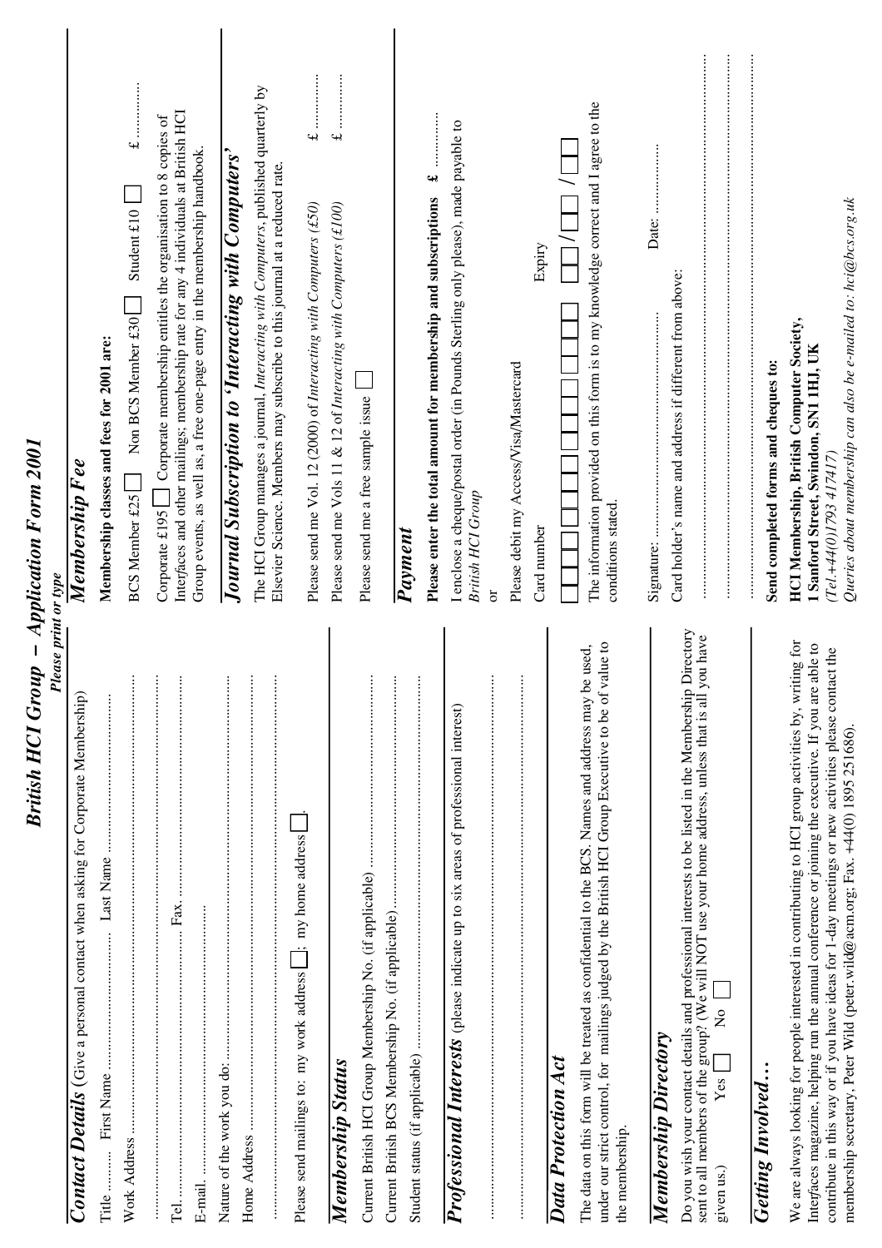| British HCI Group – Application Form 2001<br><b>Please print or type</b>                                                                                                                                                                                                                                                                                                                                |                                                                                                                                                                                                                                                           |
|---------------------------------------------------------------------------------------------------------------------------------------------------------------------------------------------------------------------------------------------------------------------------------------------------------------------------------------------------------------------------------------------------------|-----------------------------------------------------------------------------------------------------------------------------------------------------------------------------------------------------------------------------------------------------------|
| Contact Details (Give a personal contact when asking for Corporate Membership)                                                                                                                                                                                                                                                                                                                          | Membership F ee                                                                                                                                                                                                                                           |
| Last Name<br>Title                                                                                                                                                                                                                                                                                                                                                                                      | Membership classes and fees for 2001 are:                                                                                                                                                                                                                 |
| $\vdots$<br>Work Address                                                                                                                                                                                                                                                                                                                                                                                | $\pounds$ , , ,<br>Student $£10$<br>Non BCS Member £30<br><b>BCS Member £25</b>                                                                                                                                                                           |
| $\vdots$<br>$\vdots$                                                                                                                                                                                                                                                                                                                                                                                    | Interfaces and other mailings; membership rate for any 4 individuals at British HCI<br>Corporate £195 $\Box$ Corporate membership entitles the organisation to 8 copies of<br>Group events, as well as, a free one-page entry in the membership handbook. |
| ŧ                                                                                                                                                                                                                                                                                                                                                                                                       | Journal Subscription to 'Interacting with Computers'                                                                                                                                                                                                      |
| ŧ                                                                                                                                                                                                                                                                                                                                                                                                       | The HCI Group manages a journal, Interacting with Computers, published quarterly by<br>Elsevier Science. Members may subscribe to this journal at a reduced rate.                                                                                         |
| Please send mailings to: my work address   ; my home address                                                                                                                                                                                                                                                                                                                                            | :<br>:<br>:<br>:<br>:<br>:<br>$\overline{u}$<br>Please send me Vol. 12 (2000) of Interacting with Computers (£50)                                                                                                                                         |
| Membership Status                                                                                                                                                                                                                                                                                                                                                                                       | :<br>:<br>:<br>:<br>:<br>:<br>$\rightarrow$<br>Please send me Vols 11 & 12 of Interacting with Computers (£100)                                                                                                                                           |
| $\vdots$                                                                                                                                                                                                                                                                                                                                                                                                | Please send me a free sample issue                                                                                                                                                                                                                        |
| $\vdots$<br>:::::::::<br>:                                                                                                                                                                                                                                                                                                                                                                              |                                                                                                                                                                                                                                                           |
| $\vdots$                                                                                                                                                                                                                                                                                                                                                                                                | Payment                                                                                                                                                                                                                                                   |
|                                                                                                                                                                                                                                                                                                                                                                                                         | વનટે<br>Please enter the total amount for membership and subscriptions                                                                                                                                                                                    |
| $\vdots$<br>Professional Interests (please indicate up to six areas of professional interest)                                                                                                                                                                                                                                                                                                           | I enclose a cheque/postal order (in Pounds Sterling only please), made payable to<br><b>British HCI Group</b><br>$\overline{\sigma}$                                                                                                                      |
| $\vdots$                                                                                                                                                                                                                                                                                                                                                                                                | Please debit my Access/Visa/Mastercard                                                                                                                                                                                                                    |
| Data Protection Act                                                                                                                                                                                                                                                                                                                                                                                     | Expiry<br>Card number                                                                                                                                                                                                                                     |
| value to<br>The data on this form will be treated as confidential to the BCS. Names and address may be used,<br>under our strict control, for mailings judged by the British HCI Group Executive to be of<br>the membership.                                                                                                                                                                            | The information provided on this form is to my knowledge correct and I agree to the<br>conditions stated.                                                                                                                                                 |
| <b>Membership Directory</b>                                                                                                                                                                                                                                                                                                                                                                             |                                                                                                                                                                                                                                                           |
| Do you wish your contact details and professional interests to be listed in the Membership Directory<br>you have<br>sent to all members of the group? (We will NOT use your home address, unless that is all<br>$\frac{1}{2}$<br>Yes <sub>1</sub><br>given us.)                                                                                                                                         | Card holder's name and address if different from above:                                                                                                                                                                                                   |
| <b>Getting Involved</b>                                                                                                                                                                                                                                                                                                                                                                                 | Send completed forms and cheques to:                                                                                                                                                                                                                      |
| We are always looking for people interested in contributing to HCI group activities by, writing for<br>able to<br>contribute in this way or if you have ideas for 1-day meetings or new activities please contact the<br>Interfaces magazine, helping run the annual conference or joining the executive. If you are<br>membership secretary, Peter Wild (peter.wild@acm.org; Fax. +44(0) 1895 251686). | Queries about membership can also be e-mailed to: hci@bcs.org.uk<br><b>HCI Membership, British Computer Society,</b><br>1 Sanford Street, Swindon, SN1 1HJ, UK<br>(Tel.+44(0)I793 417417)                                                                 |